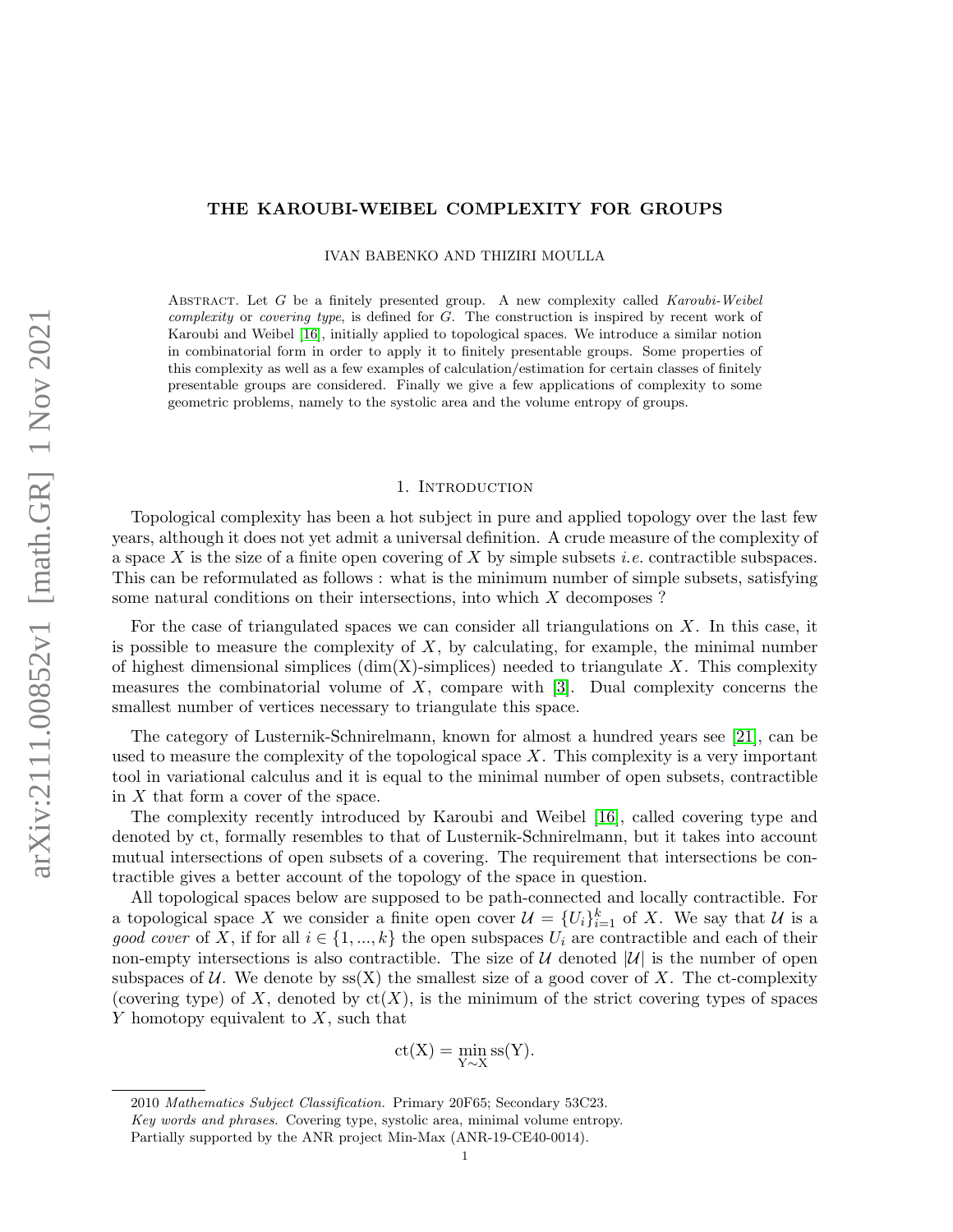# <span id="page-0-0"></span>THE KAROUBI-WEIBEL COMPLEXITY FOR GROUPS

IVAN BABENKO AND THIZIRI MOULLA

ABSTRACT. Let G be a finitely presented group. A new complexity called Karoubi-Weibel complexity or covering type, is defined for G. The construction is inspired by recent work of Karoubi and Weibel [\[16\]](#page-23-0), initially applied to topological spaces. We introduce a similar notion in combinatorial form in order to apply it to finitely presentable groups. Some properties of this complexity as well as a few examples of calculation/estimation for certain classes of finitely presentable groups are considered. Finally we give a few applications of complexity to some geometric problems, namely to the systolic area and the volume entropy of groups.

### 1. Introduction

Topological complexity has been a hot subject in pure and applied topology over the last few years, although it does not yet admit a universal definition. A crude measure of the complexity of a space X is the size of a finite open covering of X by simple subsets *i.e.* contractible subspaces. This can be reformulated as follows : what is the minimum number of simple subsets, satisfying some natural conditions on their intersections, into which X decomposes ?

For the case of triangulated spaces we can consider all triangulations on  $X$ . In this case, it is possible to measure the complexity of  $X$ , by calculating, for example, the minimal number of highest dimensional simplices (dim(X)-simplices) needed to triangulate X. This complexity measures the combinatorial volume of  $X$ , compare with  $[3]$ . Dual complexity concerns the smallest number of vertices necessary to triangulate this space.

The category of Lusternik-Schnirelmann, known for almost a hundred years see [\[21\]](#page-24-0), can be used to measure the complexity of the topological space  $X$ . This complexity is a very important tool in variational calculus and it is equal to the minimal number of open subsets, contractible in X that form a cover of the space.

The complexity recently introduced by Karoubi and Weibel [\[16\]](#page-23-0), called covering type and denoted by ct, formally resembles to that of Lusternik-Schnirelmann, but it takes into account mutual intersections of open subsets of a covering. The requirement that intersections be contractible gives a better account of the topology of the space in question.

All topological spaces below are supposed to be path-connected and locally contractible. For a topological space X we consider a finite open cover  $\mathcal{U} = \{U_i\}_{i=1}^k$  of X. We say that  $\mathcal{U}$  is a good cover of X, if for all  $i \in \{1, ..., k\}$  the open subspaces  $U_i$  are contractible and each of their non-empty intersections is also contractible. The size of  $\mathcal U$  denoted  $|\mathcal U|$  is the number of open subspaces of U. We denote by  $ss(X)$  the smallest size of a good cover of X. The ct-complexity (covering type) of X, denoted by  $ct(X)$ , is the minimum of the strict covering types of spaces  $Y$  homotopy equivalent to  $X$ , such that

$$
\operatorname{ct}(X)=\min_{Y\sim X}\operatorname{ss}(Y).
$$

<sup>2010</sup> Mathematics Subject Classification. Primary 20F65; Secondary 53C23.

Key words and phrases. Covering type, systolic area, minimal volume entropy.

Partially supported by the ANR project Min-Max (ANR-19-CE40-0014).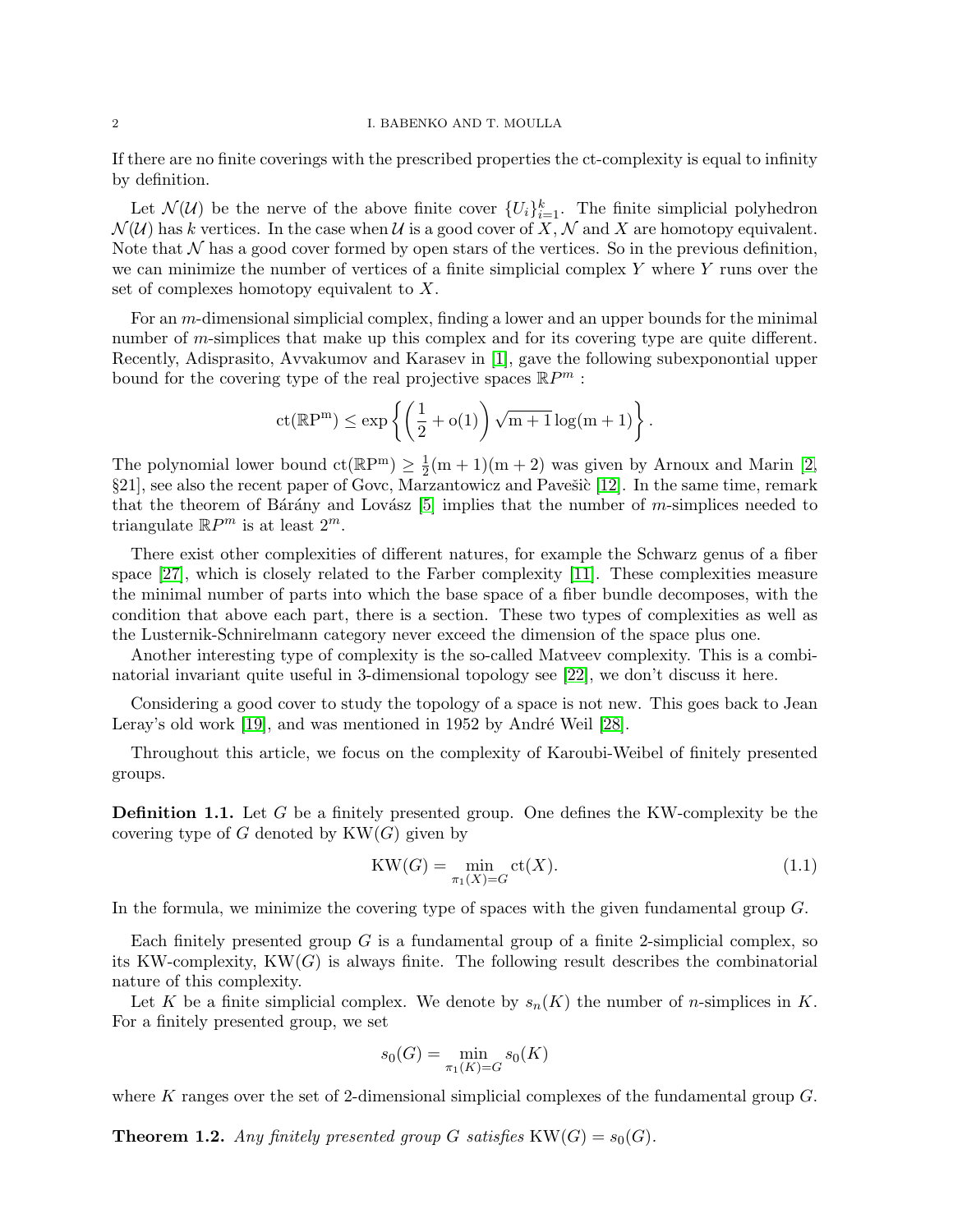#### <span id="page-1-1"></span>2 I. BABENKO AND T. MOULLA

If there are no finite coverings with the prescribed properties the ct-complexity is equal to infinity by definition.

Let  $\mathcal{N}(\mathcal{U})$  be the nerve of the above finite cover  $\{U_i\}_{i=1}^k$ . The finite simplicial polyhedron  $\mathcal{N}(\mathcal{U})$  has k vertices. In the case when U is a good cover of X, N and X are homotopy equivalent. Note that  $\mathcal N$  has a good cover formed by open stars of the vertices. So in the previous definition, we can minimize the number of vertices of a finite simplicial complex  $Y$  where  $Y$  runs over the set of complexes homotopy equivalent to X.

For an m-dimensional simplicial complex, finding a lower and an upper bounds for the minimal number of *m*-simplices that make up this complex and for its covering type are quite different. Recently, Adisprasito, Avvakumov and Karasev in [\[1\]](#page-23-2), gave the following subexponontial upper bound for the covering type of the real projective spaces  $\mathbb{R}P^m$ :

$$
\mathrm{ct}(\mathbb{R}\mathrm{P}^m) \leq \exp\left\{\left(\frac{1}{2} + o(1)\right)\sqrt{m+1}\log(m+1)\right\}.
$$

The polynomial lower bound  $ct(\mathbb{R}P^m) \geq \frac{1}{2}$  $\frac{1}{2}$ (m + 1)(m + 2) was given by Arnoux and Marin [\[2,](#page-23-3) §21], see also the recent paper of Govc, Marzantowicz and Pavešic [\[12\]](#page-23-4). In the same time, remark that the theorem of Bárány and Lovász  $[5]$  implies that the number of m-simplices needed to triangulate  $\mathbb{R}P^m$  is at least  $2^m$ .

There exist other complexities of different natures, for example the Schwarz genus of a fiber space [\[27\]](#page-24-1), which is closely related to the Farber complexity [\[11\]](#page-23-6). These complexities measure the minimal number of parts into which the base space of a fiber bundle decomposes, with the condition that above each part, there is a section. These two types of complexities as well as the Lusternik-Schnirelmann category never exceed the dimension of the space plus one.

Another interesting type of complexity is the so-called Matveev complexity. This is a combinatorial invariant quite useful in 3-dimensional topology see [\[22\]](#page-24-2), we don't discuss it here.

Considering a good cover to study the topology of a space is not new. This goes back to Jean Leray's old work  $[19]$ , and was mentioned in 1952 by André Weil  $[28]$ .

Throughout this article, we focus on the complexity of Karoubi-Weibel of finitely presented groups.

Definition 1.1. Let G be a finitely presented group. One defines the KW-complexity be the covering type of G denoted by  $KW(G)$  given by

$$
KW(G)=\min_{\pi_1(X)=G}\mathrm{ct}(X).\tag{1.1}
$$

In the formula, we minimize the covering type of spaces with the given fundamental group G.

Each finitely presented group  $G$  is a fundamental group of a finite 2-simplicial complex, so its KW-complexity,  $KW(G)$  is always finite. The following result describes the combinatorial nature of this complexity.

Let K be a finite simplicial complex. We denote by  $s_n(K)$  the number of n-simplices in K. For a finitely presented group, we set

$$
s_0(G) = \min_{\pi_1(K) = G} s_0(K)
$$

where K ranges over the set of 2-dimensional simplicial complexes of the fundamental group  $G$ .

<span id="page-1-0"></span>**Theorem 1.2.** Any finitely presented group G satisfies  $KW(G) = s_0(G)$ .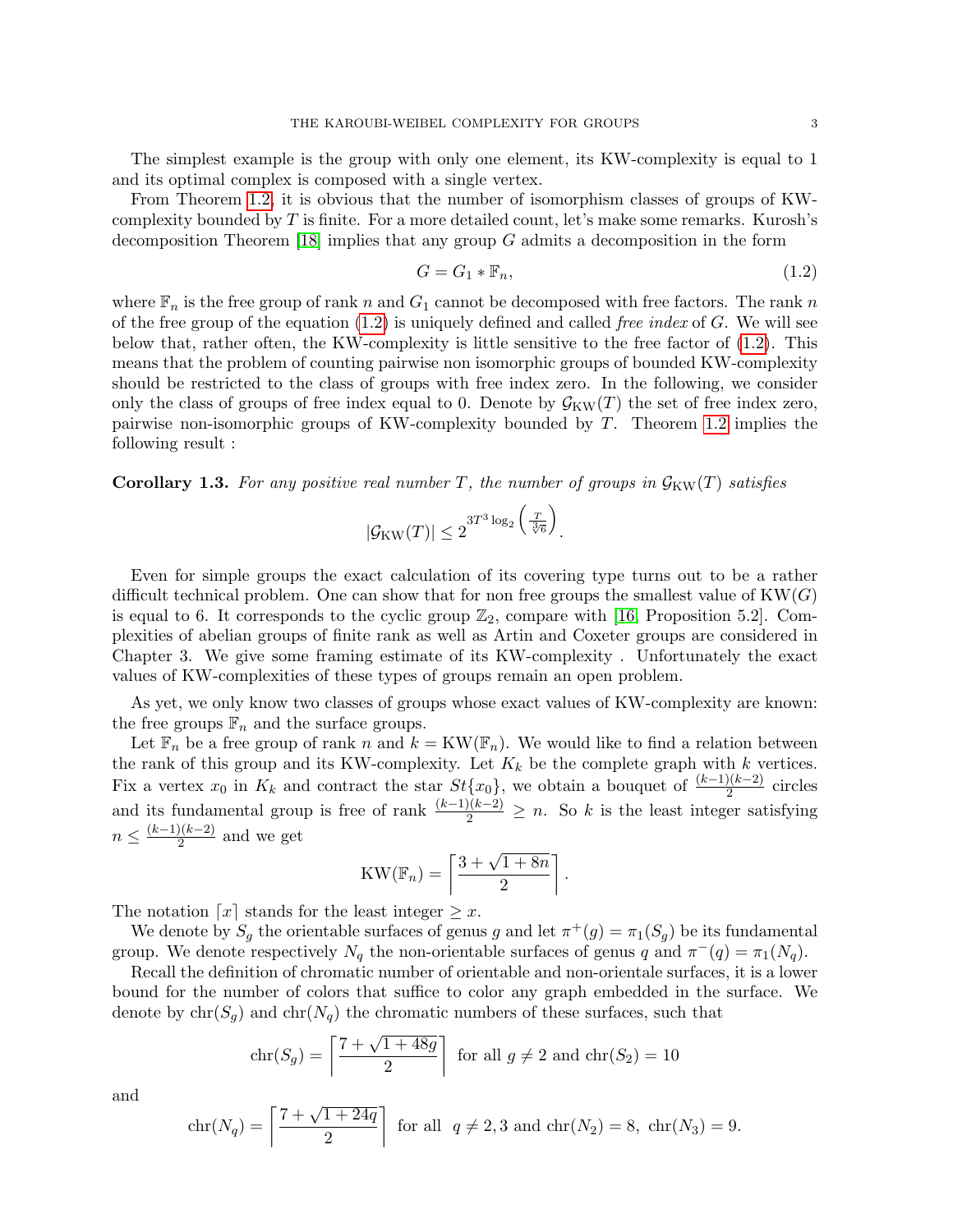<span id="page-2-2"></span>The simplest example is the group with only one element, its KW-complexity is equal to 1 and its optimal complex is composed with a single vertex.

From Theorem [1.2,](#page-1-0) it is obvious that the number of isomorphism classes of groups of KWcomplexity bounded by  $T$  is finite. For a more detailed count, let's make some remarks. Kurosh's decomposition Theorem [\[18\]](#page-23-7) implies that any group  $G$  admits a decomposition in the form

<span id="page-2-0"></span>
$$
G = G_1 * \mathbb{F}_n,\tag{1.2}
$$

where  $\mathbb{F}_n$  is the free group of rank n and  $G_1$  cannot be decomposed with free factors. The rank n of the free group of the equation  $(1.2)$  is uniquely defined and called *free index* of G. We will see below that, rather often, the KW-complexity is little sensitive to the free factor of [\(1.2\)](#page-2-0). This means that the problem of counting pairwise non isomorphic groups of bounded KW-complexity should be restricted to the class of groups with free index zero. In the following, we consider only the class of groups of free index equal to 0. Denote by  $\mathcal{G}_{KW}(T)$  the set of free index zero, pairwise non-isomorphic groups of KW-complexity bounded by T. Theorem [1.2](#page-1-0) implies the following result :

<span id="page-2-1"></span>**Corollary 1.3.** For any positive real number T, the number of groups in  $\mathcal{G}_{KW}(T)$  satisfies

$$
|\mathcal{G}_{\text{KW}}(T)| \leq 2^{3T^3 \log_2 \left(\frac{T}{\sqrt[3]{6}}\right)}.
$$

Even for simple groups the exact calculation of its covering type turns out to be a rather difficult technical problem. One can show that for non free groups the smallest value of  $KW(G)$ is equal to 6. It corresponds to the cyclic group  $\mathbb{Z}_2$ , compare with [\[16,](#page-23-0) Proposition 5.2]. Complexities of abelian groups of finite rank as well as Artin and Coxeter groups are considered in Chapter 3. We give some framing estimate of its KW-complexity . Unfortunately the exact values of KW-complexities of these types of groups remain an open problem.

As yet, we only know two classes of groups whose exact values of KW-complexity are known: the free groups  $\mathbb{F}_n$  and the surface groups.

Let  $\mathbb{F}_n$  be a free group of rank n and  $k = KW(\mathbb{F}_n)$ . We would like to find a relation between the rank of this group and its KW-complexity. Let  $K_k$  be the complete graph with k vertices. Fix a vertex  $x_0$  in  $K_k$  and contract the star  $St\{x_0\}$ , we obtain a bouquet of  $\frac{(k-1)(k-2)}{2}$  circles and its fundamental group is free of rank  $\frac{(k-1)(k-2)}{2} \geq n$ . So k is the least integer satisfying  $n \leq \frac{(k-1)(k-2)}{2}$  $\frac{2^{(k-2)}}{2}$  and we get

$$
KW(\mathbb{F}_n)=\left\lceil \frac{3+\sqrt{1+8n}}{2}\right\rceil.
$$

The notation  $\lceil x \rceil$  stands for the least integer  $\geq x$ .

We denote by  $S_g$  the orientable surfaces of genus g and let  $\pi^+(g) = \pi_1(S_g)$  be its fundamental group. We denote respectively  $N_q$  the non-orientable surfaces of genus q and  $\pi^{-}(q) = \pi_1(N_q)$ .

Recall the definition of chromatic number of orientable and non-orientale surfaces, it is a lower bound for the number of colors that suffice to color any graph embedded in the surface. We denote by  $chr(S_q)$  and  $chr(N_q)$  the chromatic numbers of these surfaces, such that

$$
chr(S_g) = \left\lceil \frac{7 + \sqrt{1 + 48g}}{2} \right\rceil
$$
 for all  $g \neq 2$  and  $chr(S_2) = 10$ 

and

$$
chr(N_q) = \left\lceil \frac{7 + \sqrt{1 + 24q}}{2} \right\rceil \text{ for all } q \neq 2, 3 \text{ and } chr(N_2) = 8, \ chr(N_3) = 9.
$$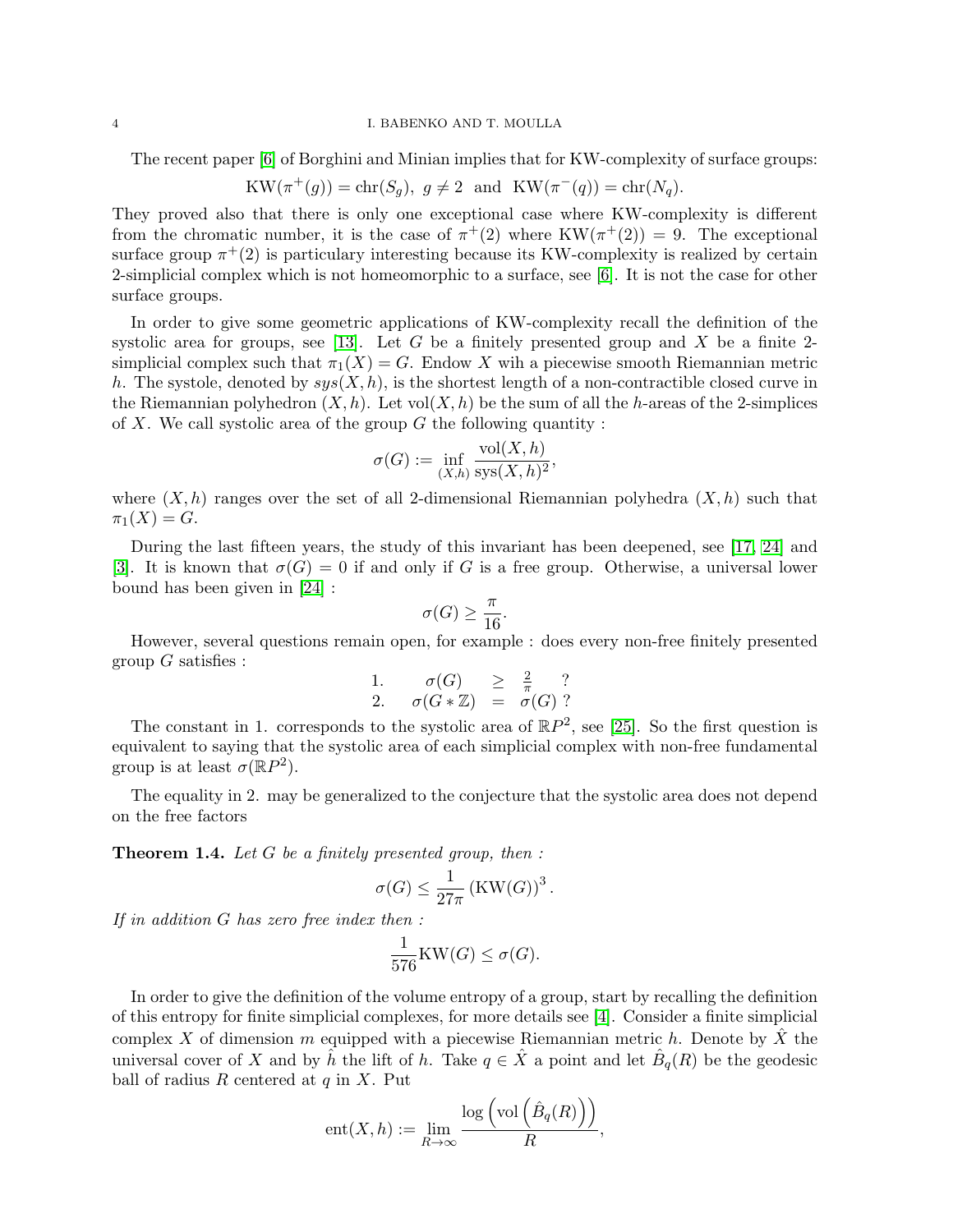#### <span id="page-3-1"></span>4 I. BABENKO AND T. MOULLA

The recent paper [\[6\]](#page-23-8) of Borghini and Minian implies that for KW-complexity of surface groups:

$$
KW(\pi^+(g)) = \operatorname{chr}(S_g), \ g \neq 2 \text{ and } KW(\pi^-(q)) = \operatorname{chr}(N_q).
$$

They proved also that there is only one exceptional case where KW-complexity is different from the chromatic number, it is the case of  $\pi^+(2)$  where  $KW(\pi^+(2))=9$ . The exceptional surface group  $\pi^+(2)$  is particulary interesting because its KW-complexity is realized by certain 2-simplicial complex which is not homeomorphic to a surface, see [\[6\]](#page-23-8). It is not the case for other surface groups.

In order to give some geometric applications of KW-complexity recall the definition of the systolic area for groups, see [\[13\]](#page-23-9). Let G be a finitely presented group and X be a finite 2simplicial complex such that  $\pi_1(X) = G$ . Endow X wih a piecewise smooth Riemannian metric h. The systole, denoted by  $sys(X, h)$ , is the shortest length of a non-contractible closed curve in the Riemannian polyhedron  $(X, h)$ . Let vol $(X, h)$  be the sum of all the h-areas of the 2-simplices of X. We call systolic area of the group  $G$  the following quantity :

$$
\sigma(G) := \inf_{(X,h)} \frac{\text{vol}(X,h)}{\text{sys}(X,h)^2},
$$

where  $(X, h)$  ranges over the set of all 2-dimensional Riemannian polyhedra  $(X, h)$  such that  $\pi_1(X) = G.$ 

During the last fifteen years, the study of this invariant has been deepened, see [\[17,](#page-23-10) [24\]](#page-24-5) and [\[3\]](#page-23-1). It is known that  $\sigma(G) = 0$  if and only if G is a free group. Otherwise, a universal lower bound has been given in [\[24\]](#page-24-5) :

$$
\sigma(G) \ge \frac{\pi}{16}.
$$

However, several questions remain open, for example : does every non-free finitely presented group  $G$  satisfies :

1. 
$$
\sigma(G) \geq \frac{2}{\pi}
$$
?  
2.  $\sigma(G * \mathbb{Z}) = \sigma(G)$ ?

The constant in 1. corresponds to the systolic area of  $\mathbb{R}P^2$ , see [\[25\]](#page-24-6). So the first question is equivalent to saying that the systolic area of each simplicial complex with non-free fundamental group is at least  $\sigma(\mathbb{R}P^2)$ .

The equality in 2. may be generalized to the conjecture that the systolic area does not depend on the free factors

<span id="page-3-0"></span>**Theorem 1.4.** Let  $G$  be a finitely presented group, then :

$$
\sigma(G) \le \frac{1}{27\pi} \left( \text{KW}(G) \right)^3.
$$

If in addition G has zero free index then :

$$
\frac{1}{576} \text{KW}(G) \le \sigma(G).
$$

In order to give the definition of the volume entropy of a group, start by recalling the definition of this entropy for finite simplicial complexes, for more details see [\[4\]](#page-23-11). Consider a finite simplicial complex X of dimension m equipped with a piecewise Riemannian metric h. Denote by  $\ddot{X}$  the universal cover of X and by  $\hat{h}$  the lift of h. Take  $q \in \hat{X}$  a point and let  $\hat{B}_q(R)$  be the geodesic ball of radius  $R$  centered at  $q$  in  $X$ . Put

$$
ent(X, h) := \lim_{R \to \infty} \frac{\log \left( \text{vol} \left( \hat{B}_q(R) \right) \right)}{R},
$$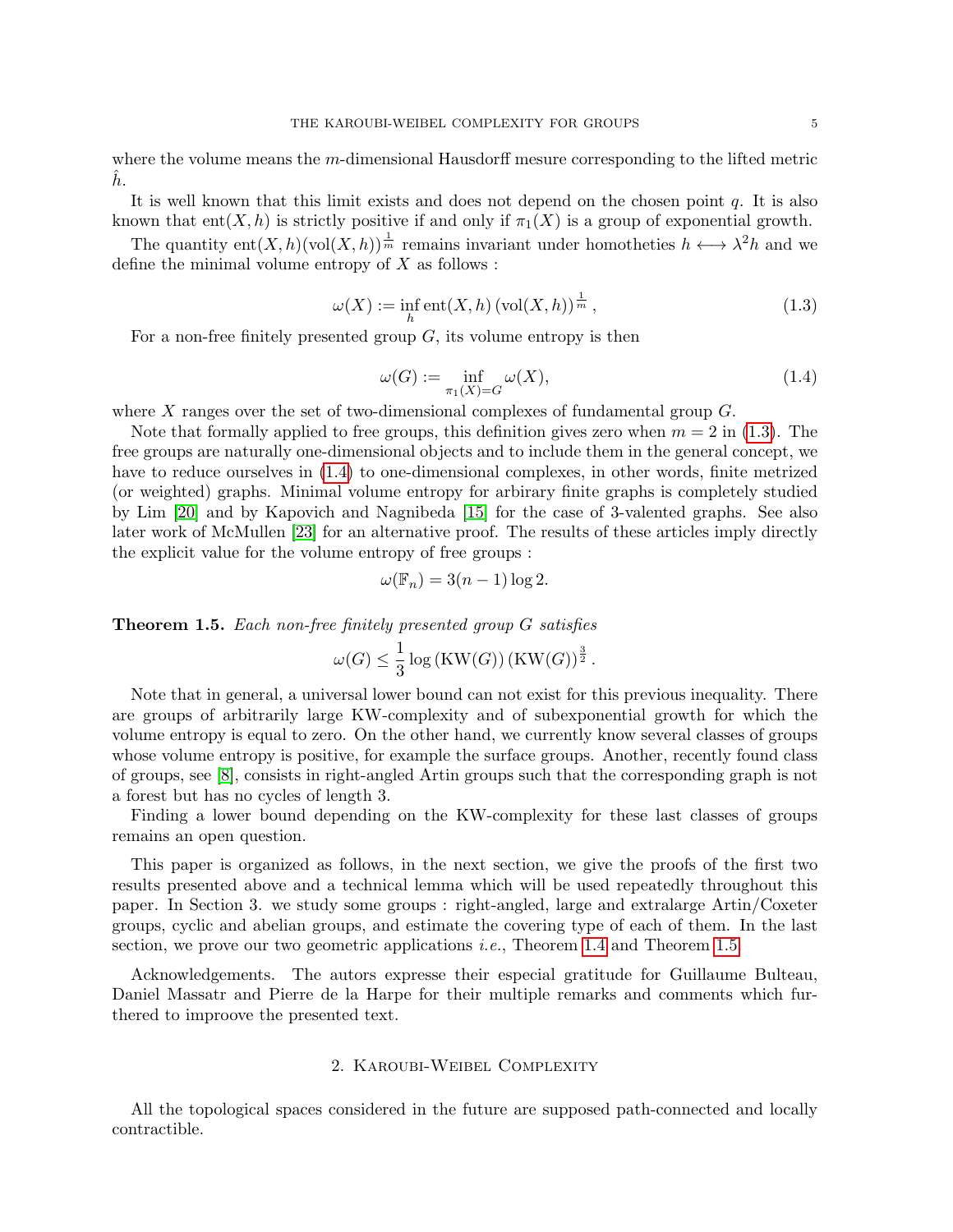<span id="page-4-3"></span>where the volume means the m-dimensional Hausdorff mesure corresponding to the lifted metric  $\ddot{h}$ .

It is well known that this limit exists and does not depend on the chosen point  $q$ . It is also known that ent $(X, h)$  is strictly positive if and only if  $\pi_1(X)$  is a group of exponential growth.

The quantity  $ent(X, h)(vol(X, h))^{\frac{1}{m}}$  remains invariant under homotheties  $h \leftrightarrow \lambda^2 h$  and we define the minimal volume entropy of  $X$  as follows :

<span id="page-4-0"></span>
$$
\omega(X) := \inf_{h} \text{ent}(X, h) \left(\text{vol}(X, h)\right)^{\frac{1}{m}},\tag{1.3}
$$

For a non-free finitely presented group  $G$ , its volume entropy is then

<span id="page-4-1"></span>
$$
\omega(G) := \inf_{\pi_1(X) = G} \omega(X),\tag{1.4}
$$

where  $X$  ranges over the set of two-dimensional complexes of fundamental group  $G$ .

Note that formally applied to free groups, this definition gives zero when  $m = 2$  in [\(1.3\)](#page-4-0). The free groups are naturally one-dimensional objects and to include them in the general concept, we have to reduce ourselves in [\(1.4\)](#page-4-1) to one-dimensional complexes, in other words, finite metrized (or weighted) graphs. Minimal volume entropy for arbirary finite graphs is completely studied by Lim [\[20\]](#page-24-7) and by Kapovich and Nagnibeda [\[15\]](#page-23-12) for the case of 3-valented graphs. See also later work of McMullen [\[23\]](#page-24-8) for an alternative proof. The results of these articles imply directly the explicit value for the volume entropy of free groups :

$$
\omega(\mathbb{F}_n) = 3(n-1)\log 2.
$$

<span id="page-4-2"></span>Theorem 1.5. Each non-free finitely presented group G satisfies

$$
\omega(G) \le \frac{1}{3} \log\left(\text{KW}(G)\right) \left(\text{KW}(G)\right)^{\frac{3}{2}}.
$$

Note that in general, a universal lower bound can not exist for this previous inequality. There are groups of arbitrarily large KW-complexity and of subexponential growth for which the volume entropy is equal to zero. On the other hand, we currently know several classes of groups whose volume entropy is positive, for example the surface groups. Another, recently found class of groups, see [\[8\]](#page-23-13), consists in right-angled Artin groups such that the corresponding graph is not a forest but has no cycles of length 3.

Finding a lower bound depending on the KW-complexity for these last classes of groups remains an open question.

This paper is organized as follows, in the next section, we give the proofs of the first two results presented above and a technical lemma which will be used repeatedly throughout this paper. In Section 3. we study some groups : right-angled, large and extralarge Artin/Coxeter groups, cyclic and abelian groups, and estimate the covering type of each of them. In the last section, we prove our two geometric applications i.e., Theorem [1.4](#page-3-0) and Theorem [1.5.](#page-4-2)

Acknowledgements. The autors expresse their especial gratitude for Guillaume Bulteau, Daniel Massatr and Pierre de la Harpe for their multiple remarks and comments which furthered to improove the presented text.

## 2. Karoubi-Weibel Complexity

All the topological spaces considered in the future are supposed path-connected and locally contractible.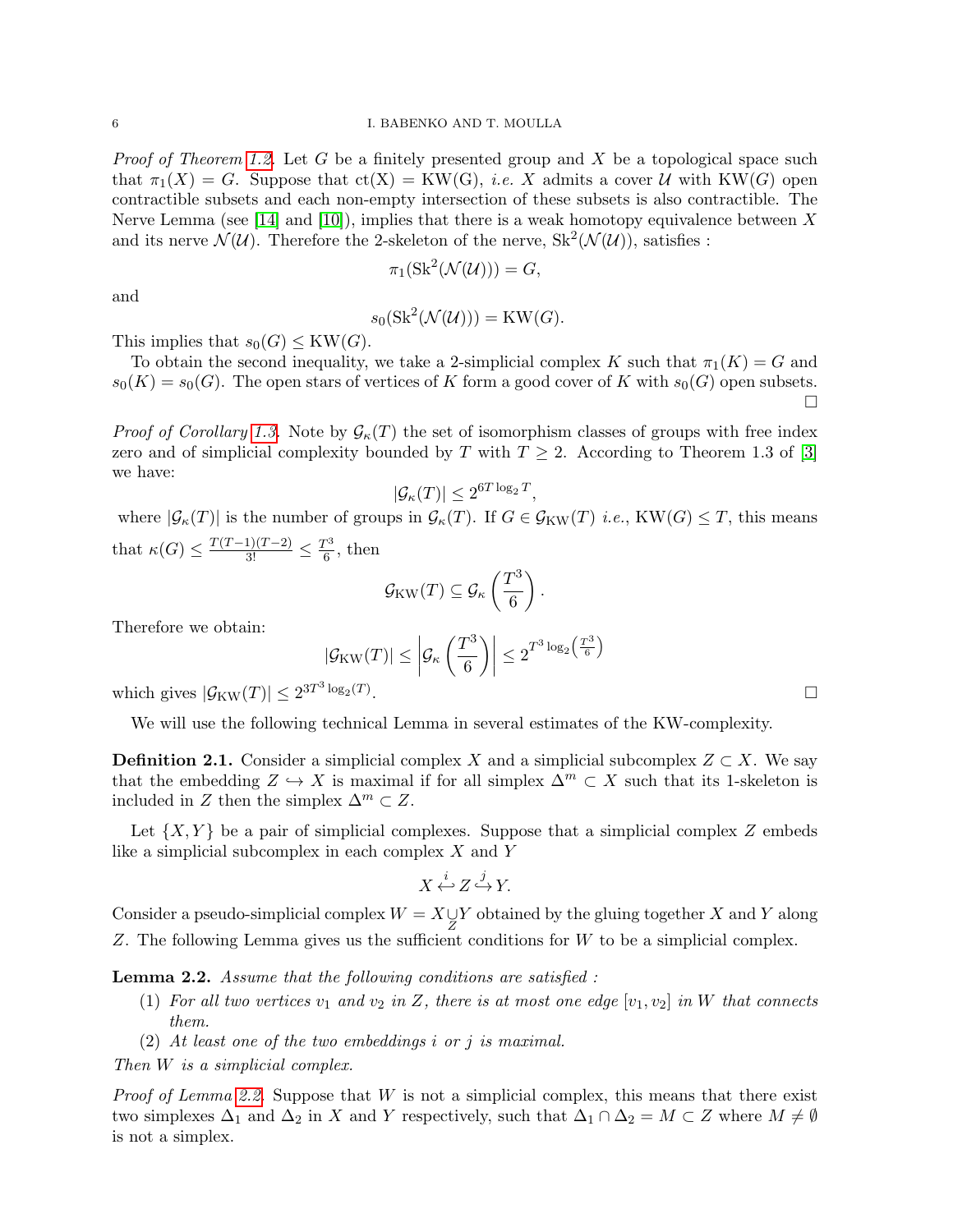<span id="page-5-1"></span>*Proof of Theorem [1.2.](#page-1-0)* Let G be a finitely presented group and X be a topological space such that  $\pi_1(X) = G$ . Suppose that  $ct(X) = KW(G), i.e. X$  admits a cover U with KW(G) open contractible subsets and each non-empty intersection of these subsets is also contractible. The Nerve Lemma (see [\[14\]](#page-23-14) and [\[10\]](#page-23-15)), implies that there is a weak homotopy equivalence between X and its nerve  $\mathcal{N}(\mathcal{U})$ . Therefore the 2-skeleton of the nerve,  $\text{Sk}^2(\mathcal{N}(\mathcal{U}))$ , satisfies :

$$
\pi_1(\operatorname{Sk}^2(\mathcal{N}(\mathcal{U}))) = G,
$$

and

$$
s_0(\text{Sk}^2(\mathcal{N}(\mathcal{U}))) = \text{KW}(G).
$$

This implies that  $s_0(G) \leq KW(G)$ .

To obtain the second inequality, we take a 2-simplicial complex K such that  $\pi_1(K) = G$  and  $s_0(K) = s_0(G)$ . The open stars of vertices of K form a good cover of K with  $s_0(G)$  open subsets.  $\Box$ 

*Proof of Corollary [1.3.](#page-2-1)* Note by  $\mathcal{G}_{\kappa}(T)$  the set of isomorphism classes of groups with free index zero and of simplicial complexity bounded by T with  $T \geq 2$ . According to Theorem 1.3 of [\[3\]](#page-23-1) we have:

$$
|\mathcal{G}_{\kappa}(T)| \leq 2^{6T \log_2 T},
$$

where  $|\mathcal{G}_{\kappa}(T)|$  is the number of groups in  $\mathcal{G}_{\kappa}(T)$ . If  $G \in \mathcal{G}_{KW}(T)$  *i.e.*,  $KW(G) \leq T$ , this means that  $\kappa(G) \le \frac{T(T-1)(T-2)}{3!} \le \frac{T^3}{6}$  $\frac{1}{6}$ , then

$$
\mathcal{G}_{\text{KW}}(T) \subseteq \mathcal{G}_{\kappa}\left(\frac{T^3}{6}\right).
$$

Therefore we obtain:

$$
|\mathcal{G}_{\text{KW}}(T)| \leq \left|\mathcal{G}_{\kappa}\left(\frac{T^3}{6}\right)\right| \leq 2^{T^3 \log_2\left(\frac{T^3}{6}\right)} \quad \Box
$$

which gives  $|\mathcal{G}_{\text{KW}}(T)| \leq 2^{3T^3 \log_2(T)}$ 

We will use the following technical Lemma in several estimates of the KW-complexity.

**Definition 2.1.** Consider a simplicial complex X and a simplicial subcomplex  $Z \subset X$ . We say that the embedding  $Z \hookrightarrow X$  is maximal if for all simplex  $\Delta^m \subset X$  such that its 1-skeleton is included in Z then the simplex  $\Delta^m \subset Z$ .

Let  $\{X, Y\}$  be a pair of simplicial complexes. Suppose that a simplicial complex Z embeds like a simplicial subcomplex in each complex  $X$  and  $Y$ 

$$
X \xleftarrow{i} Z \xrightarrow{j} Y.
$$

Consider a pseudo-simplicial complex  $W = X \cup Y$  obtained by the gluing together X and Y along Z. The following Lemma gives us the sufficient conditions for W to be a simplicial complex.

<span id="page-5-0"></span>Lemma 2.2. Assume that the following conditions are satisfied :

- (1) For all two vertices  $v_1$  and  $v_2$  in Z, there is at most one edge  $[v_1, v_2]$  in W that connects them.
- $(2)$  At least one of the two embeddings i or j is maximal.

Then W is a simplicial complex.

*Proof of Lemma [2.2.](#page-5-0)* Suppose that  $W$  is not a simplicial complex, this means that there exist two simplexes  $\Delta_1$  and  $\Delta_2$  in X and Y respectively, such that  $\Delta_1 \cap \Delta_2 = M \subset Z$  where  $M \neq \emptyset$ is not a simplex.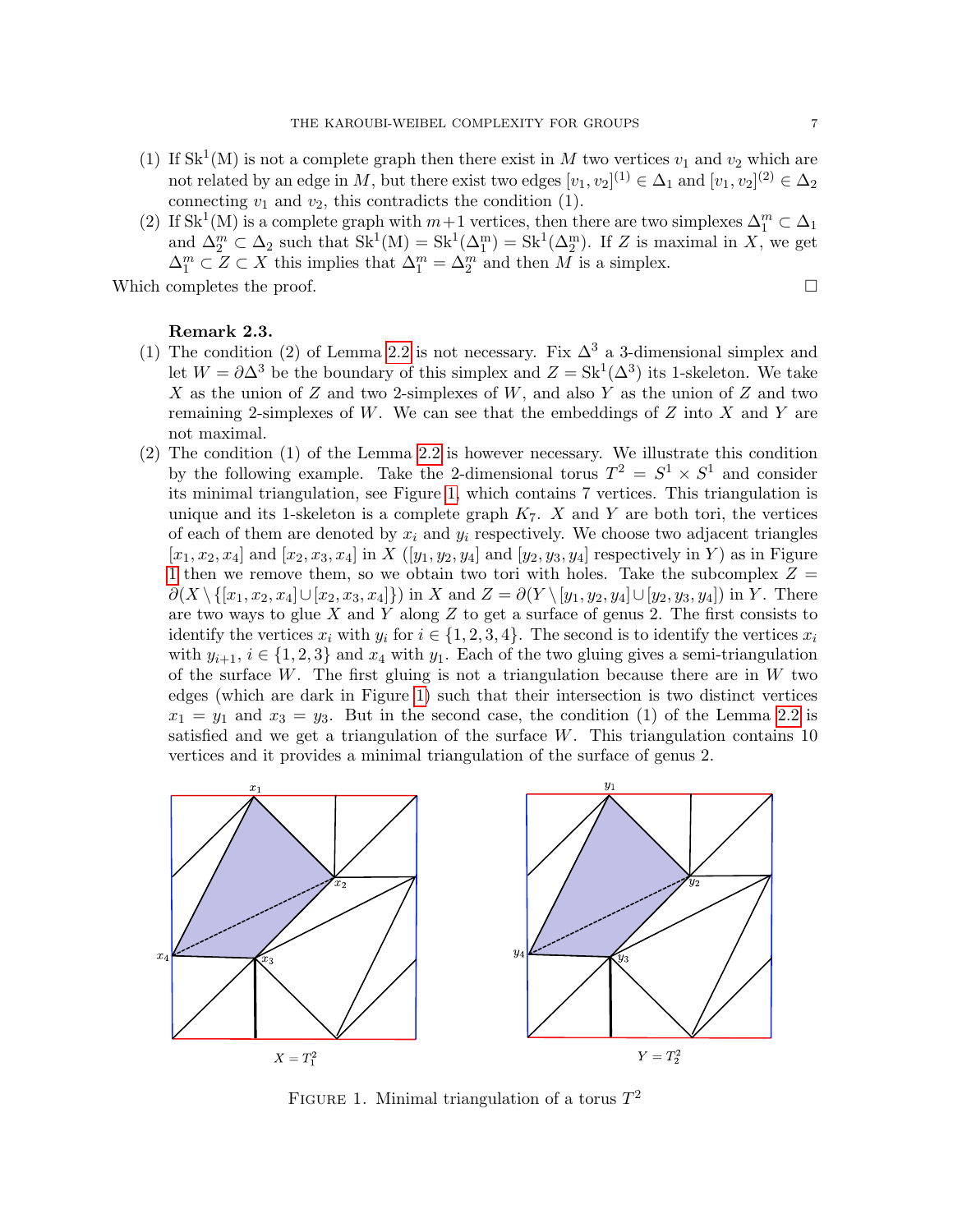- (1) If  $\text{Sk}^1(M)$  is not a complete graph then there exist in M two vertices  $v_1$  and  $v_2$  which are not related by an edge in M, but there exist two edges  $[v_1, v_2]^{(1)} \in \Delta_1$  and  $[v_1, v_2]^{(2)} \in \Delta_2$ connecting  $v_1$  and  $v_2$ , this contradicts the condition (1).
- (2) If Sk<sup>1</sup>(M) is a complete graph with  $m+1$  vertices, then there are two simplexes  $\Delta_1^m \subset \Delta_1$ and  $\Delta_2^m \subset \Delta_2$  such that  $Sk^1(M) = Sk^1(\Delta_1^m) = Sk^1(\Delta_2^m)$ . If Z is maximal in X, we get  $\Delta_1^m \subset Z \subset X$  this implies that  $\Delta_1^m = \Delta_2^m$  and then M is a simplex.

Which completes the proof.  $\Box$ 

# Remark 2.3.

- (1) The condition (2) of Lemma [2.2](#page-5-0) is not necessary. Fix  $\Delta^3$  a 3-dimensional simplex and let  $W = \partial \Delta^3$  be the boundary of this simplex and  $Z = Sk^1(\Delta^3)$  its 1-skeleton. We take X as the union of Z and two 2-simplexes of  $W$ , and also Y as the union of Z and two remaining 2-simplexes of W. We can see that the embeddings of  $Z$  into  $X$  and  $Y$  are not maximal.
- (2) The condition (1) of the Lemma [2.2](#page-5-0) is however necessary. We illustrate this condition by the following example. Take the 2-dimensional torus  $T^2 = S^1 \times S^1$  and consider its minimal triangulation, see Figure [1,](#page-6-0) which contains 7 vertices. This triangulation is unique and its 1-skeleton is a complete graph  $K_7$ . X and Y are both tori, the vertices of each of them are denoted by  $x_i$  and  $y_i$  respectively. We choose two adjacent triangles  $[x_1, x_2, x_4]$  and  $[x_2, x_3, x_4]$  in X  $([y_1, y_2, y_4]$  and  $[y_2, y_3, y_4]$  respectively in Y) as in Figure [1](#page-6-0) then we remove them, so we obtain two tori with holes. Take the subcomplex  $Z =$  $\partial(X \setminus \{[x_1, x_2, x_4] \cup [x_2, x_3, x_4]\})$  in X and  $Z = \partial(Y \setminus [y_1, y_2, y_4] \cup [y_2, y_3, y_4])$  in Y. There are two ways to glue X and Y along Z to get a surface of genus 2. The first consists to identify the vertices  $x_i$  with  $y_i$  for  $i \in \{1, 2, 3, 4\}$ . The second is to identify the vertices  $x_i$ with  $y_{i+1}$ ,  $i \in \{1, 2, 3\}$  and  $x_4$  with  $y_1$ . Each of the two gluing gives a semi-triangulation of the surface W. The first gluing is not a triangulation because there are in  $W$  two edges (which are dark in Figure [1\)](#page-6-0) such that their intersection is two distinct vertices  $x_1 = y_1$  and  $x_3 = y_3$ . But in the second case, the condition (1) of the Lemma [2.2](#page-5-0) is satisfied and we get a triangulation of the surface  $W$ . This triangulation contains 10 vertices and it provides a minimal triangulation of the surface of genus 2.



<span id="page-6-0"></span>FIGURE 1. Minimal triangulation of a torus  $T^2$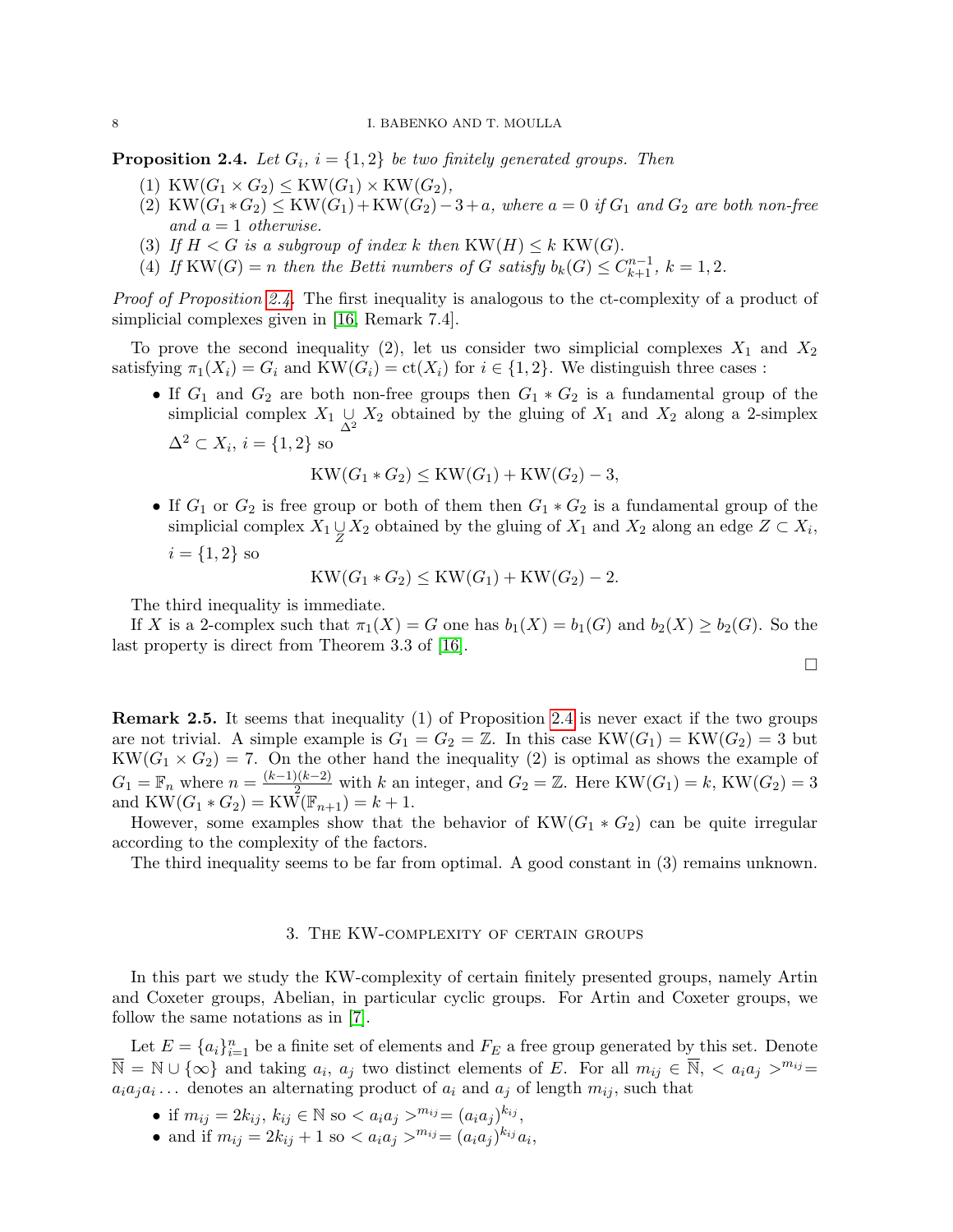<span id="page-7-1"></span><span id="page-7-0"></span>**Proposition 2.4.** Let  $G_i$ ,  $i = \{1, 2\}$  be two finitely generated groups. Then

- (1) KW $(G_1 \times G_2) \leq KW(G_1) \times KW(G_2),$
- (2) KW $(G_1 * G_2) \leq KW(G_1) + KW(G_2) 3 + a$ , where  $a = 0$  if  $G_1$  and  $G_2$  are both non-free and  $a = 1$  otherwise.
- (3) If  $H < G$  is a subgroup of index k then  $KW(H) \leq k$  KW(G).
- (4) If KW(G) = n then the Betti numbers of G satisfy  $b_k(G) \leq C_{k+1}^{n-1}$ ,  $k = 1, 2$ .

Proof of Proposition [2.4.](#page-7-0) The first inequality is analogous to the ct-complexity of a product of simplicial complexes given in [\[16,](#page-23-0) Remark 7.4].

To prove the second inequality (2), let us consider two simplicial complexes  $X_1$  and  $X_2$ satisfying  $\pi_1(X_i) = G_i$  and  $KW(G_i) = ct(X_i)$  for  $i \in \{1, 2\}$ . We distinguish three cases :

• If  $G_1$  and  $G_2$  are both non-free groups then  $G_1 * G_2$  is a fundamental group of the simplicial complex  $X_1 \underset{\Delta^2}{\cup} X_2$  obtained by the gluing of  $X_1$  and  $X_2$  along a 2-simplex  $\Delta^2 \subset X_i$ ,  $i = \{1, 2\}$  so

$$
KW(G_1 * G_2) \leq KW(G_1) + KW(G_2) - 3,
$$

• If  $G_1$  or  $G_2$  is free group or both of them then  $G_1 * G_2$  is a fundamental group of the simplicial complex  $X_1 \underset{Z}{\cup} X_2$  obtained by the gluing of  $X_1$  and  $X_2$  along an edge  $Z \subset X_i$ ,  $i = \{1, 2\}$  so

$$
KW(G_1 * G_2) \leq KW(G_1) + KW(G_2) - 2.
$$

The third inequality is immediate.

If X is a 2-complex such that  $\pi_1(X) = G$  one has  $b_1(X) = b_1(G)$  and  $b_2(X) \geq b_2(G)$ . So the last property is direct from Theorem 3.3 of [\[16\]](#page-23-0).

$$
\Box
$$

Remark 2.5. It seems that inequality (1) of Proposition [2.4](#page-7-0) is never exact if the two groups are not trivial. A simple example is  $G_1 = G_2 = \mathbb{Z}$ . In this case  $KW(G_1) = KW(G_2) = 3$  but  $KW(G_1\times G_2)=7.$  On the other hand the inequality (2) is optimal as shows the example of  $G_1 = \mathbb{F}_n$  where  $n = \frac{(k-1)(k-2)}{2}$  with k an integer, and  $G_2 = \mathbb{Z}$ . Here KW $(G_1) = k$ , KW $(G_2) = 3$ and  $KW(G_1 * G_2) = KW(\mathbb{F}_{n+1}) = k+1.$ 

However, some examples show that the behavior of  $KW(G_1 * G_2)$  can be quite irregular according to the complexity of the factors.

The third inequality seems to be far from optimal. A good constant in (3) remains unknown.

### 3. The KW-complexity of certain groups

In this part we study the KW-complexity of certain finitely presented groups, namely Artin and Coxeter groups, Abelian, in particular cyclic groups. For Artin and Coxeter groups, we follow the same notations as in [\[7\]](#page-23-16).

Let  $E = \{a_i\}_{i=1}^n$  be a finite set of elements and  $F_E$  a free group generated by this set. Denote  $\overline{\mathbb{N}} = \mathbb{N} \cup \{\infty\}$  and taking  $a_i$ ,  $a_j$  two distinct elements of E. For all  $m_{ij} \in \overline{\mathbb{N}}$ ,  $\langle a_i a_j \rangle^{m_{ij}} =$  $a_i a_j a_i \dots$  denotes an alternating product of  $a_i$  and  $a_j$  of length  $m_{ij}$ , such that

- if  $m_{ij} = 2k_{ij}, k_{ij} \in \mathbb{N}$  so  $\langle a_i a_j \rangle^{m_{ij}} = (a_i a_j)^{k_{ij}},$
- and if  $m_{ij} = 2k_{ij} + 1$  so  $\langle a_i a_j \rangle^{m_{ij}} = (a_i a_j)^{k_{ij}} a_i$ ,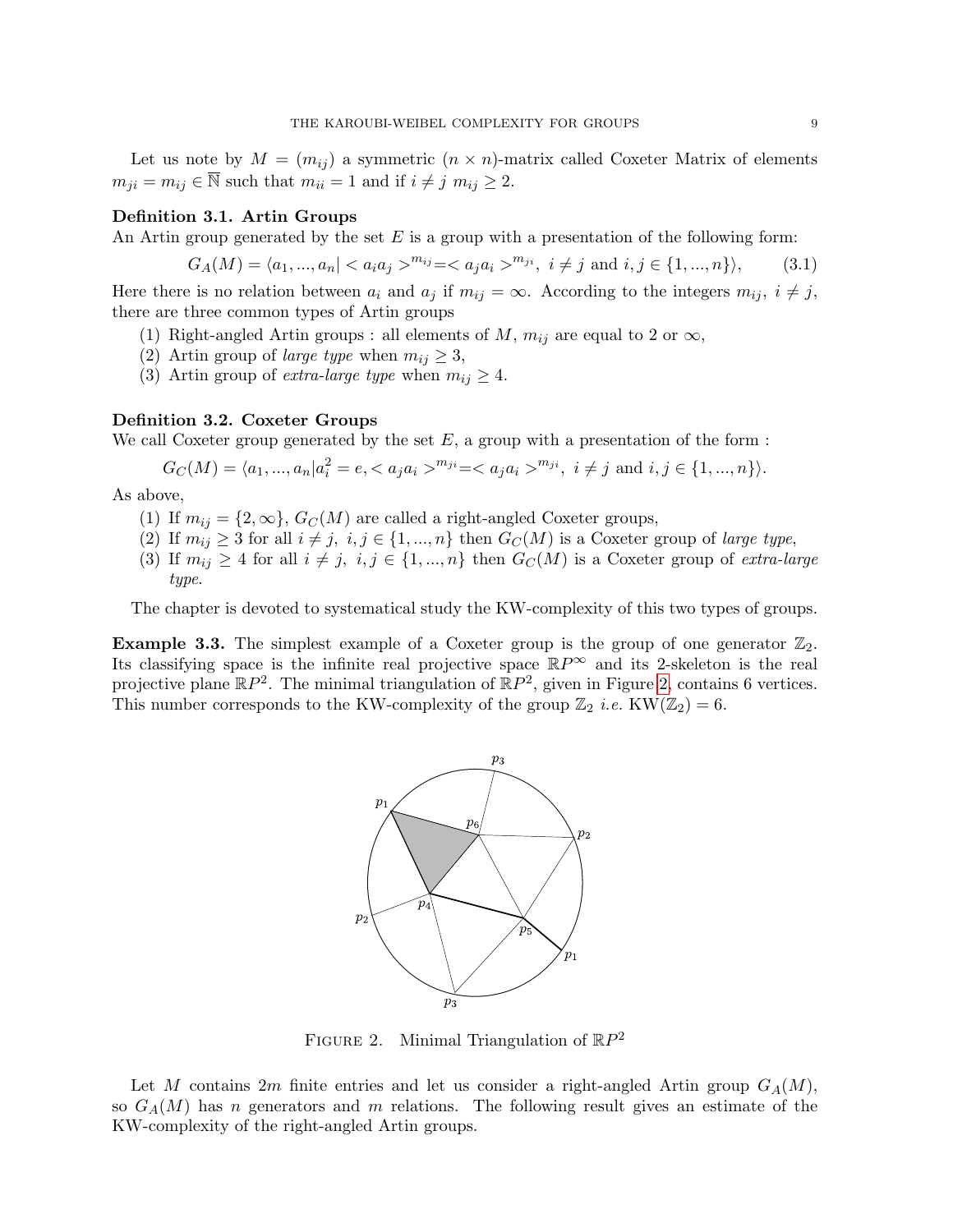Let us note by  $M = (m_{ij})$  a symmetric  $(n \times n)$ -matrix called Coxeter Matrix of elements  $m_{ii} = m_{ij} \in \overline{\mathbb{N}}$  such that  $m_{ii} = 1$  and if  $i \neq j$   $m_{ij} \geq 2$ .

## Definition 3.1. Artin Groups

An Artin group generated by the set  $E$  is a group with a presentation of the following form:

<span id="page-8-1"></span>
$$
G_A(M) = \langle a_1, ..., a_n | < a_i a_j >^{m_{ij}} = < a_j a_i >^{m_{ji}}, \ i \neq j \ \text{and} \ i, j \in \{1, ..., n\} \rangle,\tag{3.1}
$$

Here there is no relation between  $a_i$  and  $a_j$  if  $m_{ij} = \infty$ . According to the integers  $m_{ij}$ ,  $i \neq j$ , there are three common types of Artin groups

- (1) Right-angled Artin groups : all elements of M,  $m_{ij}$  are equal to 2 or  $\infty$ ,
- (2) Artin group of *large type* when  $m_{ij} \geq 3$ ,
- (3) Artin group of *extra-large type* when  $m_{ij} \geq 4$ .

# Definition 3.2. Coxeter Groups

We call Coxeter group generated by the set  $E$ , a group with a presentation of the form :

$$
G_C(M) = \langle a_1, ..., a_n | a_i^2 = e, \langle a_j a_i \rangle^{m_{ji}} = \langle a_j a_i \rangle^{m_{ji}}, \ i \neq j \text{ and } i, j \in \{1, ..., n\} \rangle.
$$

As above,

- (1) If  $m_{ij} = \{2, \infty\}, G_C(M)$  are called a right-angled Coxeter groups,
- (2) If  $m_{ij} \geq 3$  for all  $i \neq j$ ,  $i, j \in \{1, ..., n\}$  then  $G_C(M)$  is a Coxeter group of large type,
- (3) If  $m_{ij} \geq 4$  for all  $i \neq j$ ,  $i, j \in \{1, ..., n\}$  then  $G_C(M)$  is a Coxeter group of extra-large type.

The chapter is devoted to systematical study the KW-complexity of this two types of groups.

**Example 3.3.** The simplest example of a Coxeter group is the group of one generator  $\mathbb{Z}_2$ . Its classifying space is the infinite real projective space  $\mathbb{R}P^{\infty}$  and its 2-skeleton is the real projective plane  $\mathbb{R}P^2$ . The minimal triangulation of  $\mathbb{R}P^2$ , given in Figure [2,](#page-8-0) contains 6 vertices. This number corresponds to the KW-complexity of the group  $\mathbb{Z}_2$  *i.e.* KW( $\mathbb{Z}_2$ ) = 6.



<span id="page-8-0"></span>FIGURE 2. Minimal Triangulation of  $\mathbb{R}P^2$ 

Let M contains 2m finite entries and let us consider a right-angled Artin group  $G_A(M)$ , so  $G_A(M)$  has n generators and m relations. The following result gives an estimate of the KW-complexity of the right-angled Artin groups.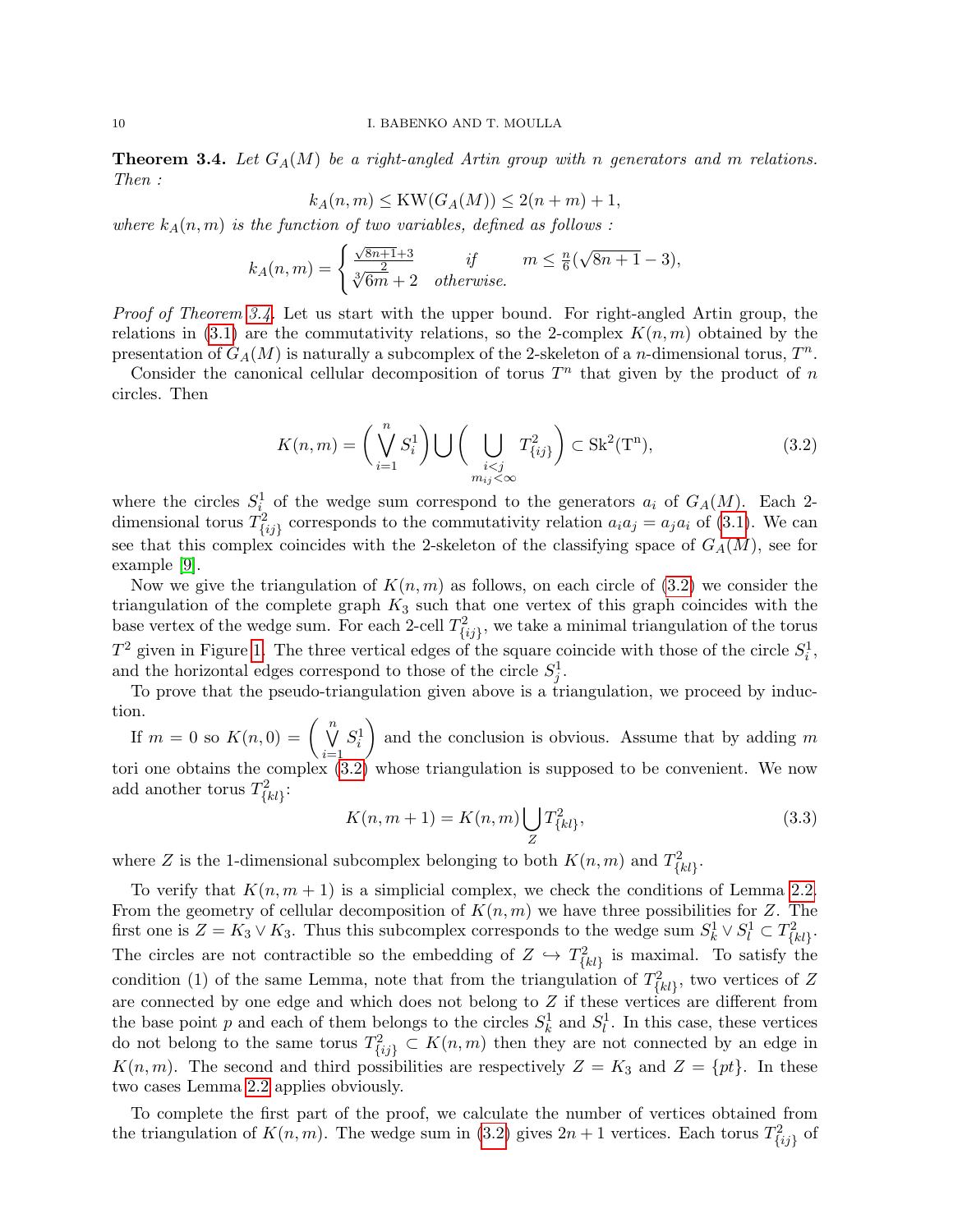<span id="page-9-2"></span><span id="page-9-0"></span>**Theorem 3.4.** Let  $G_A(M)$  be a right-angled Artin group with n generators and m relations. Then :

$$
k_A(n,m) \leq KW(G_A(M)) \leq 2(n+m) + 1,
$$

where  $k_A(n,m)$  is the function of two variables, defined as follows:

$$
k_A(n,m)=\begin{cases}\frac{\sqrt{8n+1}+3}{2}&\text{if}\qquad m\leq\frac{n}{6}(\sqrt{8n+1}-3),\\ \sqrt[3]{6m+2}&\text{otherwise}.\end{cases}
$$

Proof of Theorem [3.4.](#page-9-0) Let us start with the upper bound. For right-angled Artin group, the relations in  $(3.1)$  are the commutativity relations, so the 2-complex  $K(n, m)$  obtained by the presentation of  $G_A(M)$  is naturally a subcomplex of the 2-skeleton of a *n*-dimensional torus,  $T^n$ .

Consider the canonical cellular decomposition of torus  $T<sup>n</sup>$  that given by the product of n circles. Then

<span id="page-9-1"></span>
$$
K(n,m) = \left(\bigvee_{i=1}^{n} S_i^1\right) \bigcup \left(\bigcup_{\substack{i < j \\ m_{ij} < \infty}} T_{\{ij\}}^2\right) \subset \text{Sk}^2(\mathbf{T}^n),\tag{3.2}
$$

where the circles  $S_i^1$  of the wedge sum correspond to the generators  $a_i$  of  $G_A(M)$ . Each 2dimensional torus  $T_{\{ij\}}^2$  corresponds to the commutativity relation  $a_i a_j = a_j a_i$  of [\(3.1\)](#page-8-1). We can see that this complex coincides with the 2-skeleton of the classifying space of  $G_A(M)$ , see for example [\[9\]](#page-23-17).

Now we give the triangulation of  $K(n, m)$  as follows, on each circle of [\(3.2\)](#page-9-1) we consider the triangulation of the complete graph  $K_3$  such that one vertex of this graph coincides with the base vertex of the wedge sum. For each 2-cell  $T_{\{ij\}}^2$ , we take a minimal triangulation of the torus  $T^2$  given in Figure [1.](#page-6-0) The three vertical edges of the square coincide with those of the circle  $S_i^1$ , and the horizontal edges correspond to those of the circle  $S_j^1$ .

To prove that the pseudo-triangulation given above is a triangulation, we proceed by induction.

If  $m = 0$  so  $K(n, 0) = \left(\begin{array}{c} n \\ \nabla \end{array}\right)$  $i=1$  $S_i^1$ ) and the conclusion is obvious. Assume that by adding  $m$ tori one obtains the complex [\(3.2\)](#page-9-1) whose triangulation is supposed to be convenient. We now add another torus  $T_{\{kl\}}^2$ :

$$
K(n, m+1) = K(n, m) \bigcup_{Z} T_{\{kl\}}^2,
$$
\n(3.3)

where Z is the 1-dimensional subcomplex belonging to both  $K(n, m)$  and  $T_{\{kl\}}^2$ .

To verify that  $K(n, m + 1)$  is a simplicial complex, we check the conditions of Lemma [2.2.](#page-5-0) From the geometry of cellular decomposition of  $K(n, m)$  we have three possibilities for Z. The first one is  $Z = K_3 \vee K_3$ . Thus this subcomplex corresponds to the wedge sum  $S_k^1 \vee S_l^1 \subset T_{\{kl\}}^2$ . The circles are not contractible so the embedding of  $Z \hookrightarrow T_{\{kl\}}^2$  is maximal. To satisfy the condition (1) of the same Lemma, note that from the triangulation of  $T_{\{kl\}}^2$ , two vertices of Z are connected by one edge and which does not belong to Z if these vertices are different from the base point p and each of them belongs to the circles  $S_k^1$  and  $S_l^1$ . In this case, these vertices do not belong to the same torus  $T_{\{ij\}}^2 \subset K(n,m)$  then they are not connected by an edge in  $K(n, m)$ . The second and third possibilities are respectively  $Z = K_3$  and  $Z = \{pt\}$ . In these two cases Lemma [2.2](#page-5-0) applies obviously.

To complete the first part of the proof, we calculate the number of vertices obtained from the triangulation of  $K(n, m)$ . The wedge sum in [\(3.2\)](#page-9-1) gives  $2n + 1$  vertices. Each torus  $T_{\{ij\}}^2$  of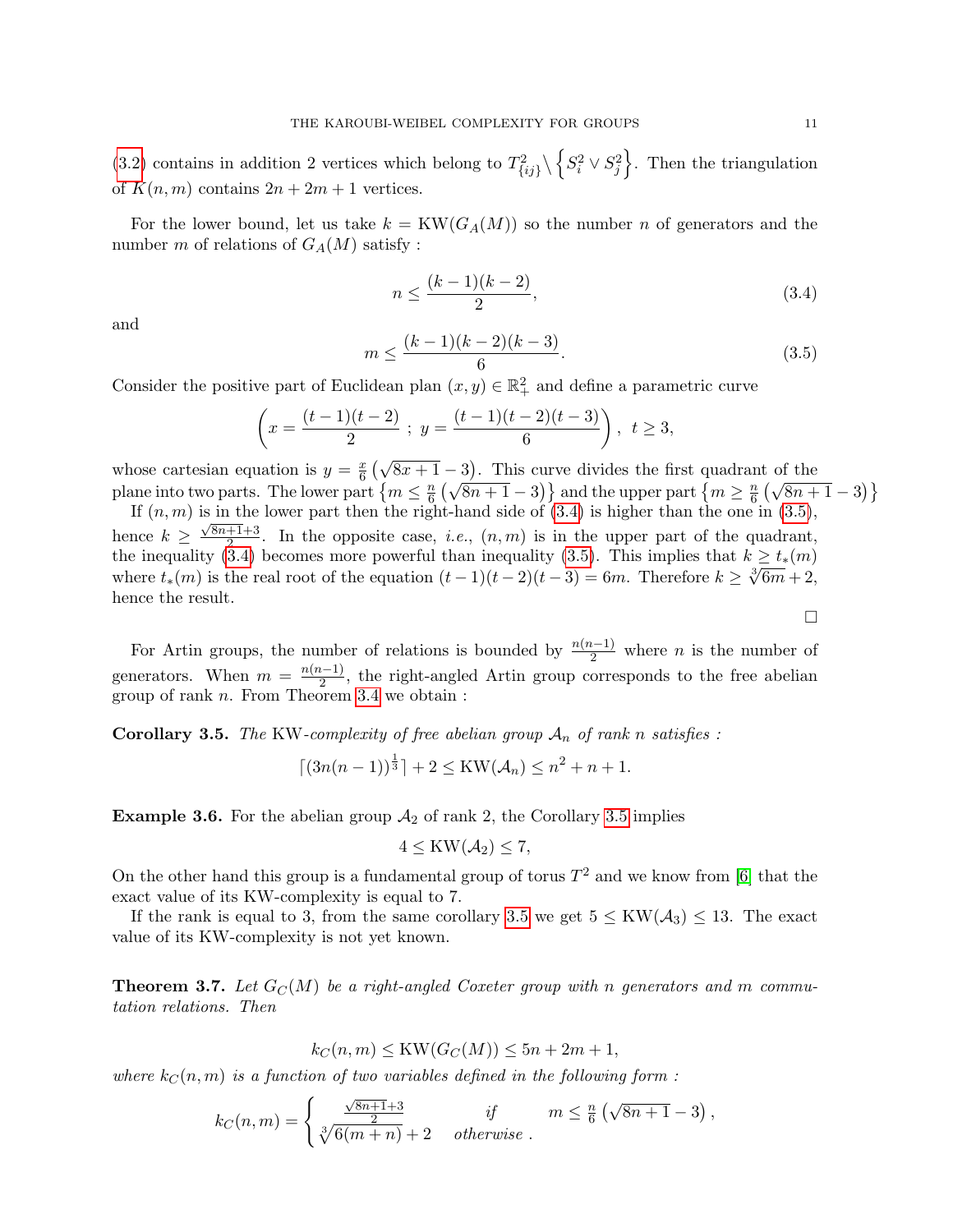<span id="page-10-4"></span>[\(3.2\)](#page-9-1) contains in addition 2 vertices which belong to  $T_{\{ij\}}^2 \setminus \{S_i^2 \vee S_j^2\}$ . Then the triangulation of  $K(n, m)$  contains  $2n + 2m + 1$  vertices.

For the lower bound, let us take  $k = KW(G_A(M))$  so the number n of generators and the number m of relations of  $G_A(M)$  satisfy :

<span id="page-10-0"></span>
$$
n \le \frac{(k-1)(k-2)}{2},\tag{3.4}
$$

and

<span id="page-10-1"></span>
$$
m \le \frac{(k-1)(k-2)(k-3)}{6}.\tag{3.5}
$$

Consider the positive part of Euclidean plan  $(x, y) \in \mathbb{R}^2_+$  and define a parametric curve

$$
\left(x = \frac{(t-1)(t-2)}{2} \; ; \; y = \frac{(t-1)(t-2)(t-3)}{6} \right), \; t \ge 3,
$$

whose cartesian equation is  $y = \frac{x}{6}$  $\frac{x}{6}(\sqrt{8x+1}-3)$ . This curve divides the first quadrant of the plane into two parts. The lower part  $\{m \leq \frac{n}{6}\}$  $\left(\sqrt{8n+1}-3\right)$  and the upper part  $\left\{m\geq \frac{n}{6}\right\}$  $\frac{n}{6} \left( \sqrt{8n+1} - 3 \right)$ 

If  $(n, m)$  is in the lower part then the right-hand side of  $(3.4)$  is higher than the one in  $(3.5)$ , hence  $k \geq \frac{\sqrt{8n+1}+3}{2}$  $\frac{+1+3}{2}$ . In the opposite case, *i.e.*,  $(n, m)$  is in the upper part of the quadrant, the inequality [\(3.4\)](#page-10-0) becomes more powerful than inequality [\(3.5\)](#page-10-1). This implies that  $k \ge t_*(m)$ <br>where  $t_*(m)$  is the real next of the equation  $(t-1)(t-2)(t-3)$ , for Therefore  $k > \frac{3\sqrt{2m}}{2} + 2$ . where  $t_*(m)$  is the real root of the equation  $(t-1)(t-2)(t-3) = 6m$ . Therefore  $k \geq \sqrt[3]{6m+2}$ , hence the result.

For Artin groups, the number of relations is bounded by  $\frac{n(n-1)}{2}$  where n is the number of generators. When  $m = \frac{n(n-1)}{2}$  $\frac{2^{L-1}}{2}$ , the right-angled Artin group corresponds to the free abelian group of rank n. From Theorem [3.4](#page-9-0) we obtain :

<span id="page-10-2"></span>**Corollary 3.5.** The KW-complexity of free abelian group  $A_n$  of rank n satisfies :

$$
\lceil (3n(n-1))^{\frac{1}{3}} \rceil + 2 \leq KW(\mathcal{A}_n) \leq n^2 + n + 1.
$$

**Example 3.6.** For the abelian group  $A_2$  of rank 2, the Corollary [3.5](#page-10-2) implies

$$
4 \leq KW(\mathcal{A}_2) \leq 7,
$$

On the other hand this group is a fundamental group of torus  $T^2$  and we know from [\[6\]](#page-23-8) that the exact value of its KW-complexity is equal to 7.

If the rank is equal to 3, from the same corollary [3.5](#page-10-2) we get  $5 \leq KW(\mathcal{A}_3) \leq 13$ . The exact value of its KW-complexity is not yet known.

<span id="page-10-3"></span>**Theorem 3.7.** Let  $G_C(M)$  be a right-angled Coxeter group with n generators and m commutation relations. Then

$$
k_C(n, m) \leq \text{KW}(G_C(M)) \leq 5n + 2m + 1,
$$

where  $k_C(n,m)$  is a function of two variables defined in the following form :

$$
k_C(n,m) = \begin{cases} \frac{\sqrt{8n+1}+3}{2} & \text{if } m \leq \frac{n}{6} (\sqrt{8n+1} - 3), \\ \sqrt[3]{6(m+n)} + 2 & \text{otherwise.} \end{cases}
$$

 $\Box$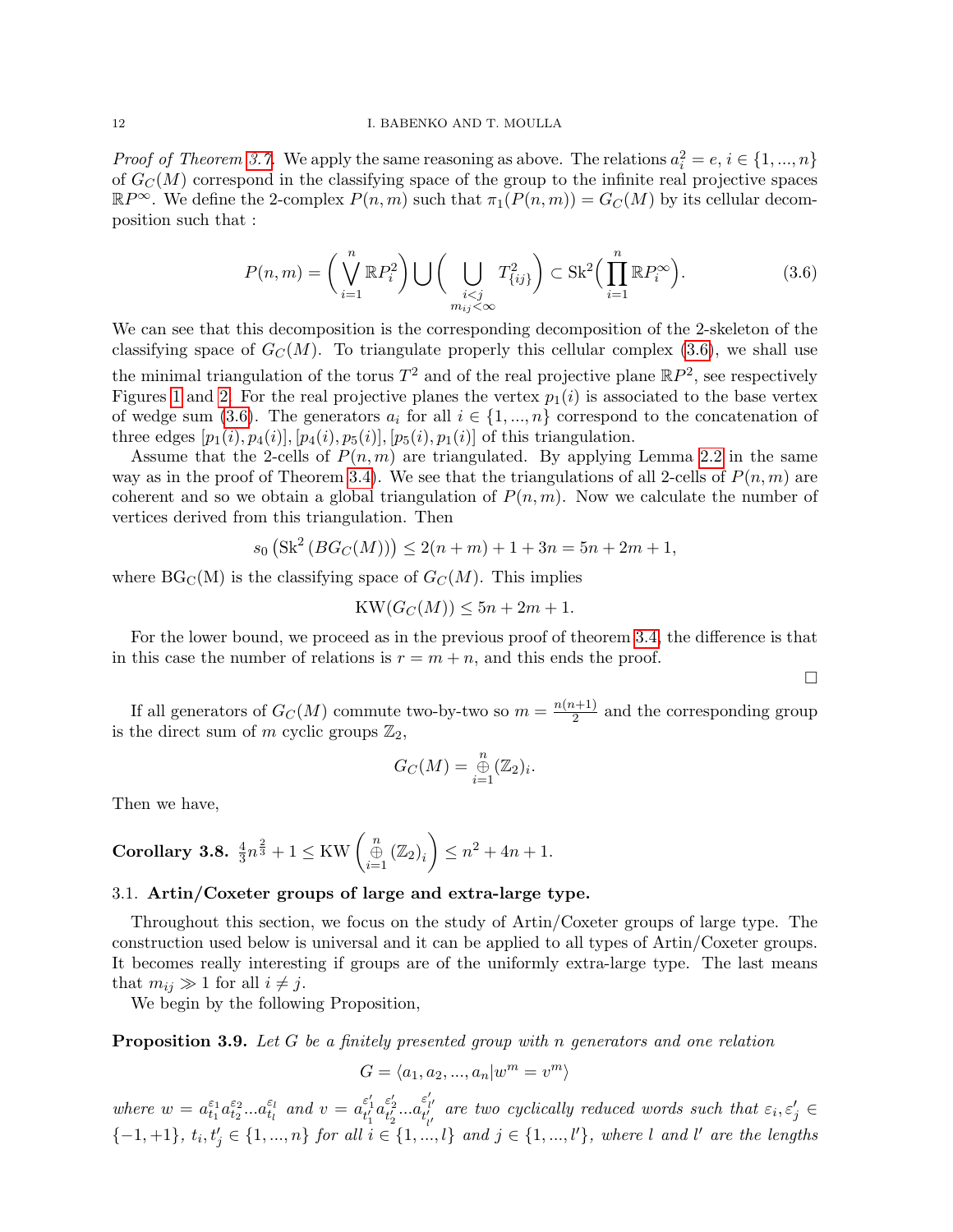*Proof of Theorem [3.7.](#page-10-3)* We apply the same reasoning as above. The relations  $a_i^2 = e, i \in \{1, ..., n\}$ of  $G<sub>C</sub>(M)$  correspond in the classifying space of the group to the infinite real projective spaces  $\mathbb{R}P^{\infty}$ . We define the 2-complex  $P(n,m)$  such that  $\pi_1(P(n,m)) = G_C(M)$  by its cellular decomposition such that :

<span id="page-11-0"></span>
$$
P(n,m) = \left(\bigvee_{i=1}^{n} \mathbb{R}P_{i}^{2}\right) \bigcup \left(\bigcup_{\substack{i (3.6)
$$

We can see that this decomposition is the corresponding decomposition of the 2-skeleton of the classifying space of  $G<sub>C</sub>(M)$ . To triangulate properly this cellular complex [\(3.6\)](#page-11-0), we shall use the minimal triangulation of the torus  $T^2$  and of the real projective plane  $\mathbb{R}P^2$ , see respectively Figures [1](#page-6-0) and [2.](#page-8-0) For the real projective planes the vertex  $p_1(i)$  is associated to the base vertex of wedge sum [\(3.6\)](#page-11-0). The generators  $a_i$  for all  $i \in \{1, ..., n\}$  correspond to the concatenation of three edges  $[p_1(i), p_4(i)], [p_4(i), p_5(i)], [p_5(i), p_1(i)]$  of this triangulation.

Assume that the 2-cells of  $P(n, m)$  are triangulated. By applying Lemma [2.2](#page-5-0) in the same way as in the proof of Theorem [3.4\)](#page-9-0). We see that the triangulations of all 2-cells of  $P(n, m)$  are coherent and so we obtain a global triangulation of  $P(n, m)$ . Now we calculate the number of vertices derived from this triangulation. Then

$$
s_0\left(\text{Sk}^2\left(BG_C(M)\right)\right) \le 2(n+m) + 1 + 3n = 5n + 2m + 1,
$$

where  $BG_{\mathcal{C}}(M)$  is the classifying space of  $G_{\mathcal{C}}(M)$ . This implies

$$
KW(G_C(M))\leq 5n+2m+1.
$$

For the lower bound, we proceed as in the previous proof of theorem [3.4,](#page-9-0) the difference is that in this case the number of relations is  $r = m + n$ , and this ends the proof.

If all generators of  $G_C(M)$  commute two-by-two so  $m = \frac{n(n+1)}{2}$  $\frac{1}{2}$  and the corresponding group is the direct sum of m cyclic groups  $\mathbb{Z}_2$ ,

 $\Box$ 

$$
G_C(M) = \bigoplus_{i=1}^n (\mathbb{Z}_2)_i.
$$

Then we have,

Corollary 3.8. 
$$
\frac{4}{3}n^{\frac{2}{3}} + 1 \leq \text{KW}\left(\bigoplus_{i=1}^{n} (\mathbb{Z}_2)_i\right) \leq n^2 + 4n + 1.
$$

### 3.1. Artin/Coxeter groups of large and extra-large type.

Throughout this section, we focus on the study of Artin/Coxeter groups of large type. The construction used below is universal and it can be applied to all types of Artin/Coxeter groups. It becomes really interesting if groups are of the uniformly extra-large type. The last means that  $m_{ij} \gg 1$  for all  $i \neq j$ .

We begin by the following Proposition,

<span id="page-11-1"></span>**Proposition 3.9.** Let G be a finitely presented group with n generators and one relation

$$
G = \langle a_1, a_2, ..., a_n | w^m = v^m \rangle
$$

where  $w = a_{t_1}^{\varepsilon_1} a_{t_2}^{\varepsilon_2} ... a_{t_l}^{\varepsilon_l}$  $\epsilon_l \atop t_l$  and  $v = a_{t_1'}^{\varepsilon_1'} a_{t_2'}^{\varepsilon_2'} ... a_{t_{l'}'}^{\varepsilon'_{l'}}$  $\begin{aligned} \epsilon_{l'}^{i'} \quad & \text{are two cyclically reduced words such that } \epsilon_i, \epsilon_j' \in \end{aligned}$  $\{-1,+1\}, t_i, t'_j \in \{1,...,n\}$  for all  $i \in \{1,...,l\}$  and  $j \in \{1,...,l'\}$ , where l and l' are the lengths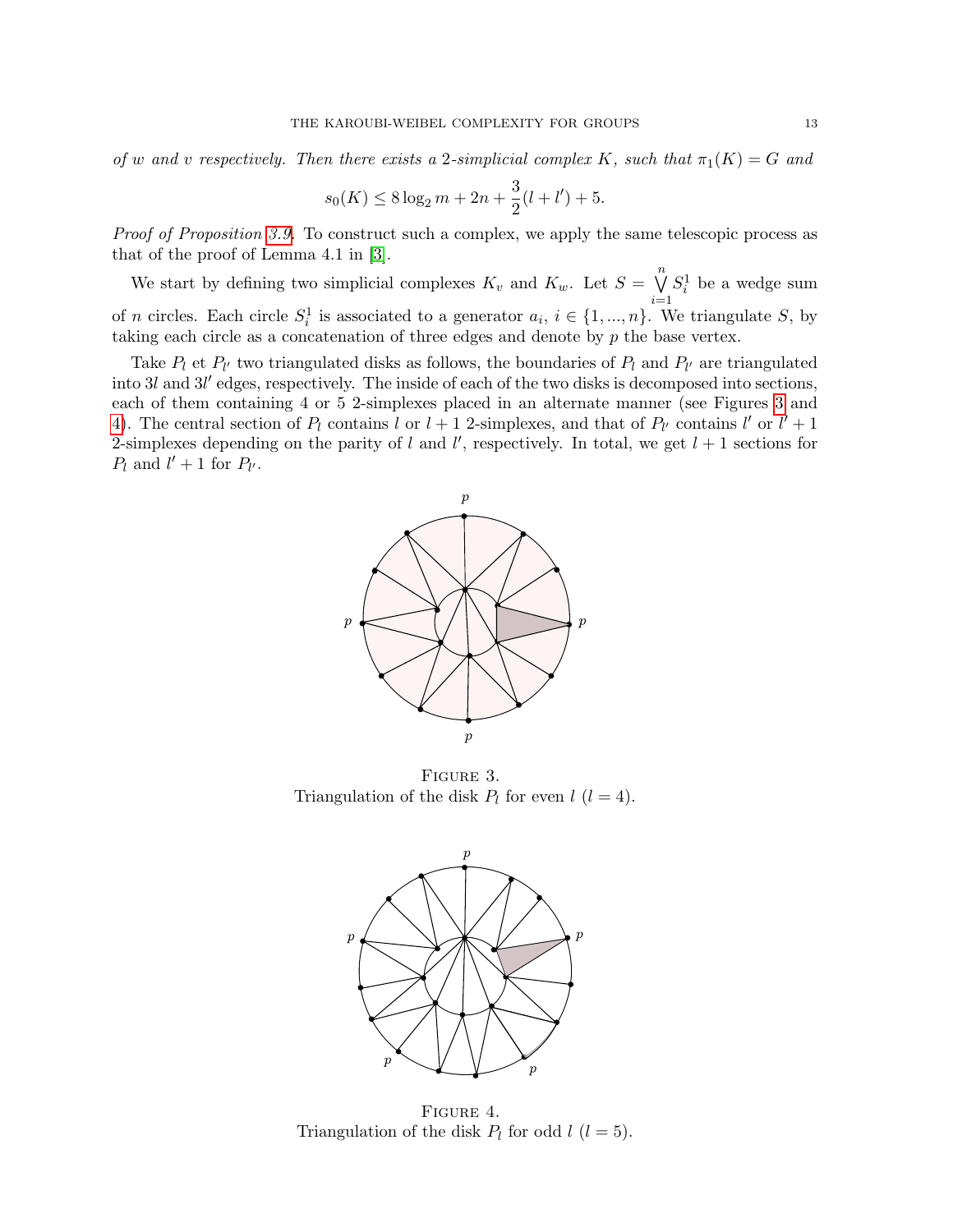<span id="page-12-2"></span>of w and v respectively. Then there exists a 2-simplicial complex K, such that  $\pi_1(K) = G$  and

$$
s_0(K) \le 8 \log_2 m + 2n + \frac{3}{2}(l + l') + 5.
$$

Proof of Proposition [3.9.](#page-11-1) To construct such a complex, we apply the same telescopic process as that of the proof of Lemma 4.1 in [\[3\]](#page-23-1).

We start by defining two simplicial complexes  $K_v$  and  $K_w$ . Let  $S = \bigvee^n$  $i=1$  $S_i^1$  be a wedge sum of *n* circles. Each circle  $S_i^1$  is associated to a generator  $a_i, i \in \{1, ..., n\}$ . We triangulate S, by taking each circle as a concatenation of three edges and denote by p the base vertex.

Take  $P_l$  et  $P_{l'}$  two triangulated disks as follows, the boundaries of  $P_l$  and  $P_{l'}$  are triangulated into  $3l$  and  $3l'$  edges, respectively. The inside of each of the two disks is decomposed into sections, each of them containing 4 or 5 2-simplexes placed in an alternate manner (see Figures [3](#page-12-0) and [4\)](#page-12-1). The central section of  $P_l$  contains l or  $l + 1$  2-simplexes, and that of  $P_{l'}$  contains l' or  $l' + 1$ 2-simplexes depending on the parity of l and l', respectively. In total, we get  $l + 1$  sections for  $P_l$  and  $l' + 1$  for  $P_{l'}$ .



Figure 3. Triangulation of the disk  $P_l$  for even  $l$   $(l = 4)$ .

<span id="page-12-0"></span>

<span id="page-12-1"></span>FIGURE 4. Triangulation of the disk  $P_l$  for odd  $l$   $(l = 5)$ .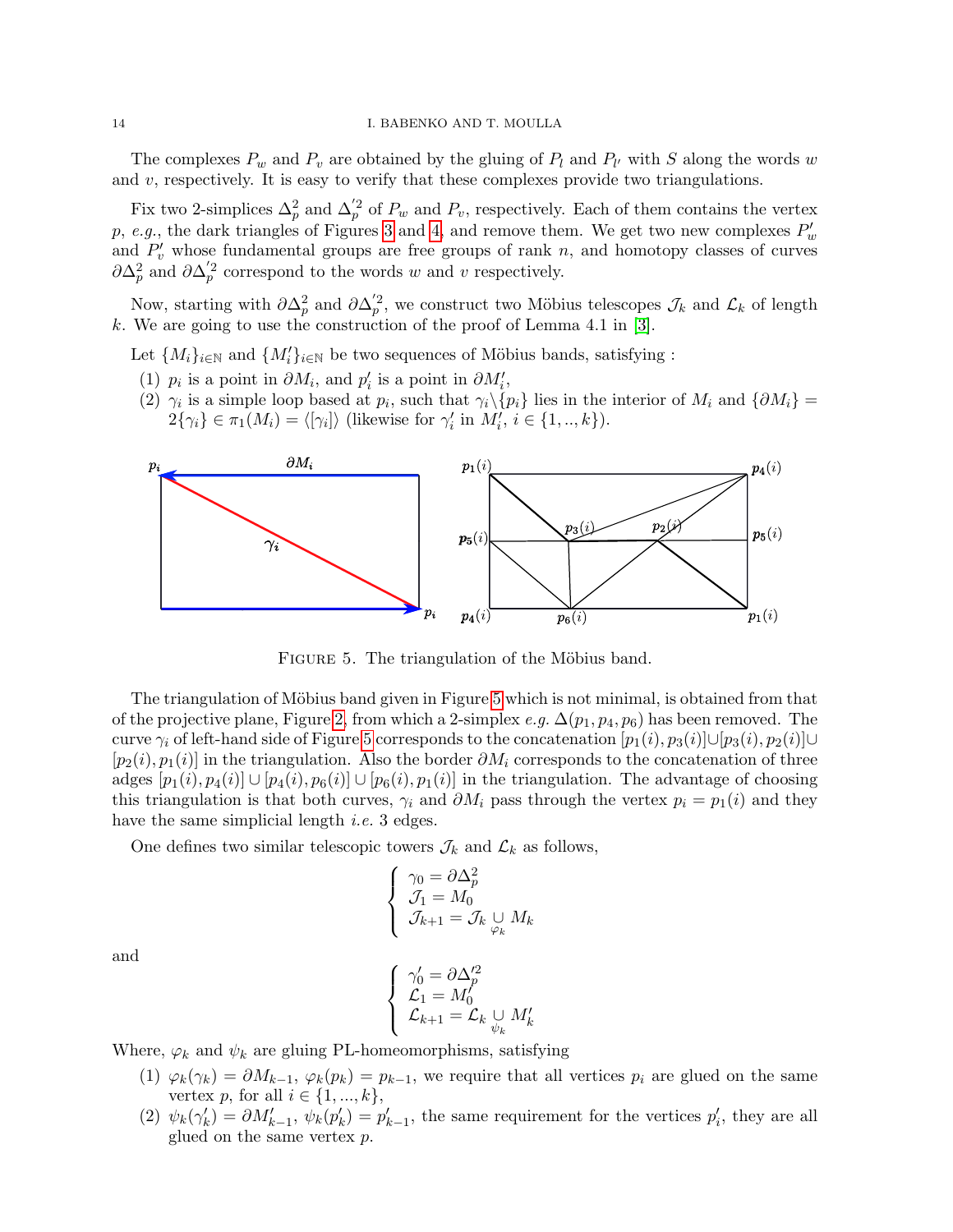<span id="page-13-1"></span>The complexes  $P_w$  and  $P_v$  are obtained by the gluing of  $P_l$  and  $P_{l'}$  with S along the words w and  $v$ , respectively. It is easy to verify that these complexes provide two triangulations.

Fix two 2-simplices  $\Delta_p^2$  and  $\Delta_p^{'2}$  of  $P_w$  and  $P_v$ , respectively. Each of them contains the vertex p, e.g., the dark triangles of Figures [3](#page-12-0) and [4,](#page-12-1) and remove them. We get two new complexes  $P'_w$ and  $P'_v$  whose fundamental groups are free groups of rank n, and homotopy classes of curves  $\partial \Delta_p^2$  and  $\partial \Delta_p^{'2}$  correspond to the words w and v respectively.

Now, starting with  $\partial \Delta_p^2$  and  $\partial \Delta_p^{'2}$ , we construct two Möbius telescopes  $\mathcal{J}_k$  and  $\mathcal{L}_k$  of length k. We are going to use the construction of the proof of Lemma 4.1 in [\[3\]](#page-23-1).

Let  ${M_i}_{i \in \mathbb{N}}$  and  ${M'_i}_{i \in \mathbb{N}}$  be two sequences of Möbius bands, satisfying :

- (1)  $p_i$  is a point in  $\partial M_i$ , and  $p'_i$  is a point in  $\partial M'_i$ ,
- (2)  $\gamma_i$  is a simple loop based at  $p_i$ , such that  $\gamma_i \setminus \{p_i\}$  lies in the interior of  $M_i$  and  $\{\partial M_i\}$  =  $2\{\gamma_i\} \in \pi_1(M_i) = \langle [\gamma_i] \rangle$  (likewise for  $\gamma'_i$  in  $M'_i, i \in \{1, ..., k\}$ ).



<span id="page-13-0"></span>FIGURE 5. The triangulation of the Möbius band.

The triangulation of Möbius band given in Figure [5](#page-13-0) which is not minimal, is obtained from that of the projective plane, Figure [2,](#page-8-0) from which a 2-simplex e.g.  $\Delta(p_1, p_4, p_6)$  has been removed. The curve  $\gamma_i$  of left-hand side of Figure [5](#page-13-0) corresponds to the concatenation  $[p_1(i), p_3(i)]\cup[p_3(i), p_2(i)]\cup$  $[p_2(i), p_1(i)]$  in the triangulation. Also the border  $\partial M_i$  corresponds to the concatenation of three adges  $[p_1(i), p_4(i)] \cup [p_4(i), p_6(i)] \cup [p_6(i), p_1(i)]$  in the triangulation. The advantage of choosing this triangulation is that both curves,  $\gamma_i$  and  $\partial M_i$  pass through the vertex  $p_i = p_1(i)$  and they have the same simplicial length *i.e.* 3 edges.

One defines two similar telescopic towers  $\mathcal{J}_k$  and  $\mathcal{L}_k$  as follows,

$$
\begin{cases} \gamma_0 = \partial \Delta_p^2 \\ \mathcal{J}_1 = M_0 \\ \mathcal{J}_{k+1} = \mathcal{J}_k \underset{\varphi_k}{\cup} M_k \end{cases}
$$

and

$$
\left\{\begin{array}{l}\gamma'_0=\partial\Delta_p'^2\\\mathcal{L}_1=M'_0\\\mathcal{L}_{k+1}=\mathcal{L}_k\underset{\psi_k}{\cup}M'_k\end{array}\right.
$$

Where,  $\varphi_k$  and  $\psi_k$  are gluing PL-homeomorphisms, satisfying

- (1)  $\varphi_k(\gamma_k) = \partial M_{k-1}, \varphi_k(p_k) = p_{k-1}$ , we require that all vertices  $p_i$  are glued on the same vertex p, for all  $i \in \{1, ..., k\},\$
- (2)  $\psi_k(\gamma_k') = \partial M'_{k-1}, \ \psi_k(p'_k) = p'_{k-1},$  the same requirement for the vertices  $p'_i$ , they are all glued on the same vertex p.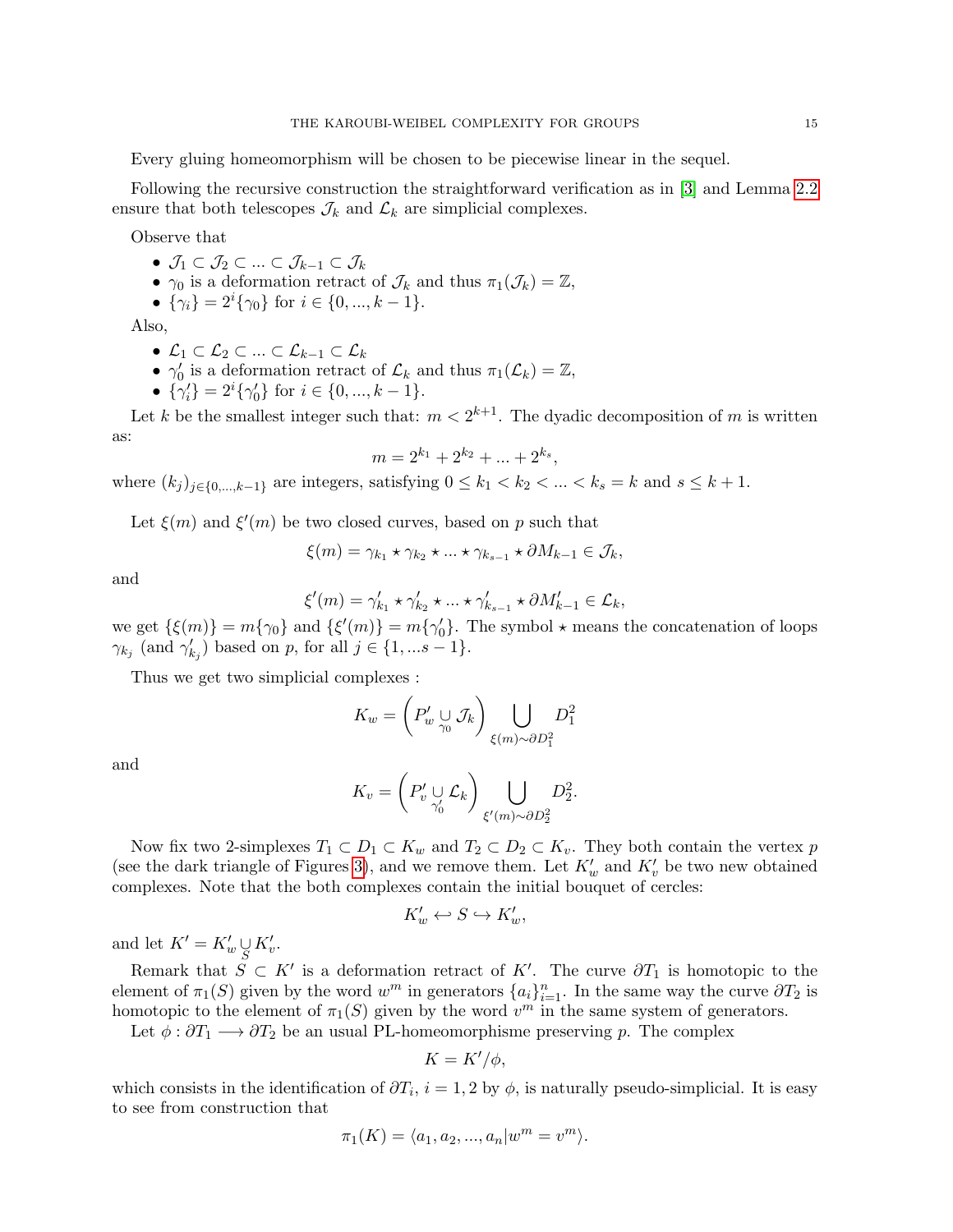<span id="page-14-0"></span>Every gluing homeomorphism will be chosen to be piecewise linear in the sequel.

Following the recursive construction the straightforward verification as in [\[3\]](#page-23-1) and Lemma [2.2](#page-5-0) ensure that both telescopes  $\mathcal{J}_k$  and  $\mathcal{L}_k$  are simplicial complexes.

Observe that

- $\mathcal{J}_1 \subset \mathcal{J}_2 \subset ... \subset \mathcal{J}_{k-1} \subset \mathcal{J}_k$
- $\gamma_0$  is a deformation retract of  $\mathcal{J}_k$  and thus  $\pi_1(\mathcal{J}_k) = \mathbb{Z}$ ,
- $\{\gamma_i\} = 2^i \{\gamma_0\}$  for  $i \in \{0, ..., k-1\}$ .

Also,

- $\mathcal{L}_1 \subset \mathcal{L}_2 \subset ... \subset \mathcal{L}_{k-1} \subset \mathcal{L}_k$
- $\gamma'_0$  is a deformation retract of  $\mathcal{L}_k$  and thus  $\pi_1(\mathcal{L}_k) = \mathbb{Z}$ ,
- $\{\gamma'_i\} = 2^i \{\gamma'_0\}$  for  $i \in \{0, ..., k-1\}$ .

Let k be the smallest integer such that:  $m < 2^{k+1}$ . The dyadic decomposition of m is written as:

$$
m = 2^{k_1} + 2^{k_2} + \dots + 2^{k_s},
$$

where  $(k_j)_{j\in\{0,\ldots,k-1\}}$  are integers, satisfying  $0 \le k_1 < k_2 < \ldots < k_s = k$  and  $s \le k+1$ .

Let  $\xi(m)$  and  $\xi'(m)$  be two closed curves, based on p such that

$$
\xi(m) = \gamma_{k_1} \star \gamma_{k_2} \star \ldots \star \gamma_{k_{s-1}} \star \partial M_{k-1} \in \mathcal{J}_k,
$$

and

$$
\xi'(m) = \gamma_{k_1}' \star \gamma_{k_2}' \star \ldots \star \gamma_{k_{s-1}}' \star \partial M'_{k-1} \in \mathcal{L}_k,
$$

we get  $\{\xi(m)\}=m\{\gamma_0\}$  and  $\{\xi'(m)\}=m\{\gamma'_0\}$ . The symbol  $\star$  means the concatenation of loops  $\gamma_{k_j}$  (and  $\gamma'_{k_j}$ ) based on p, for all  $j \in \{1, ...s - 1\}$ .

Thus we get two simplicial complexes :

$$
K_w = \left(P'_w \underset{\gamma_0}{\cup} \mathcal{J}_k\right) \underset{\xi(m) \sim \partial D_1^2}{\bigcup} D_1^2
$$

and

$$
K_v = \left(P'_v \underset{\gamma'_0}{\cup} \mathcal{L}_k\right) \underset{\xi'(m) \sim \partial D_2^2}{\bigcup} D_2^2.
$$

Now fix two 2-simplexes  $T_1 \subset D_1 \subset K_w$  and  $T_2 \subset D_2 \subset K_v$ . They both contain the vertex p (see the dark triangle of Figures [3\)](#page-12-0), and we remove them. Let  $K'_w$  and  $K'_v$  be two new obtained complexes. Note that the both complexes contain the initial bouquet of cercles:

$$
K'_w \leftrightarrow S \hookrightarrow K'_w,
$$

and let  $K' = K'_w \cup_{S} K'_v$ .

Remark that  $\tilde{S} \subset K'$  is a deformation retract of K'. The curve  $\partial T_1$  is homotopic to the element of  $\pi_1(S)$  given by the word  $w^m$  in generators  $\{a_i\}_{i=1}^n$ . In the same way the curve  $\partial T_2$  is homotopic to the element of  $\pi_1(S)$  given by the word  $v^m$  in the same system of generators.

Let  $\phi : \partial T_1 \longrightarrow \partial T_2$  be an usual PL-homeomorphisme preserving p. The complex

$$
K = K'/\phi,
$$

which consists in the identification of  $\partial T_i$ ,  $i = 1, 2$  by  $\phi$ , is naturally pseudo-simplicial. It is easy to see from construction that

$$
\pi_1(K) = \langle a_1, a_2, ..., a_n | w^m = v^m \rangle.
$$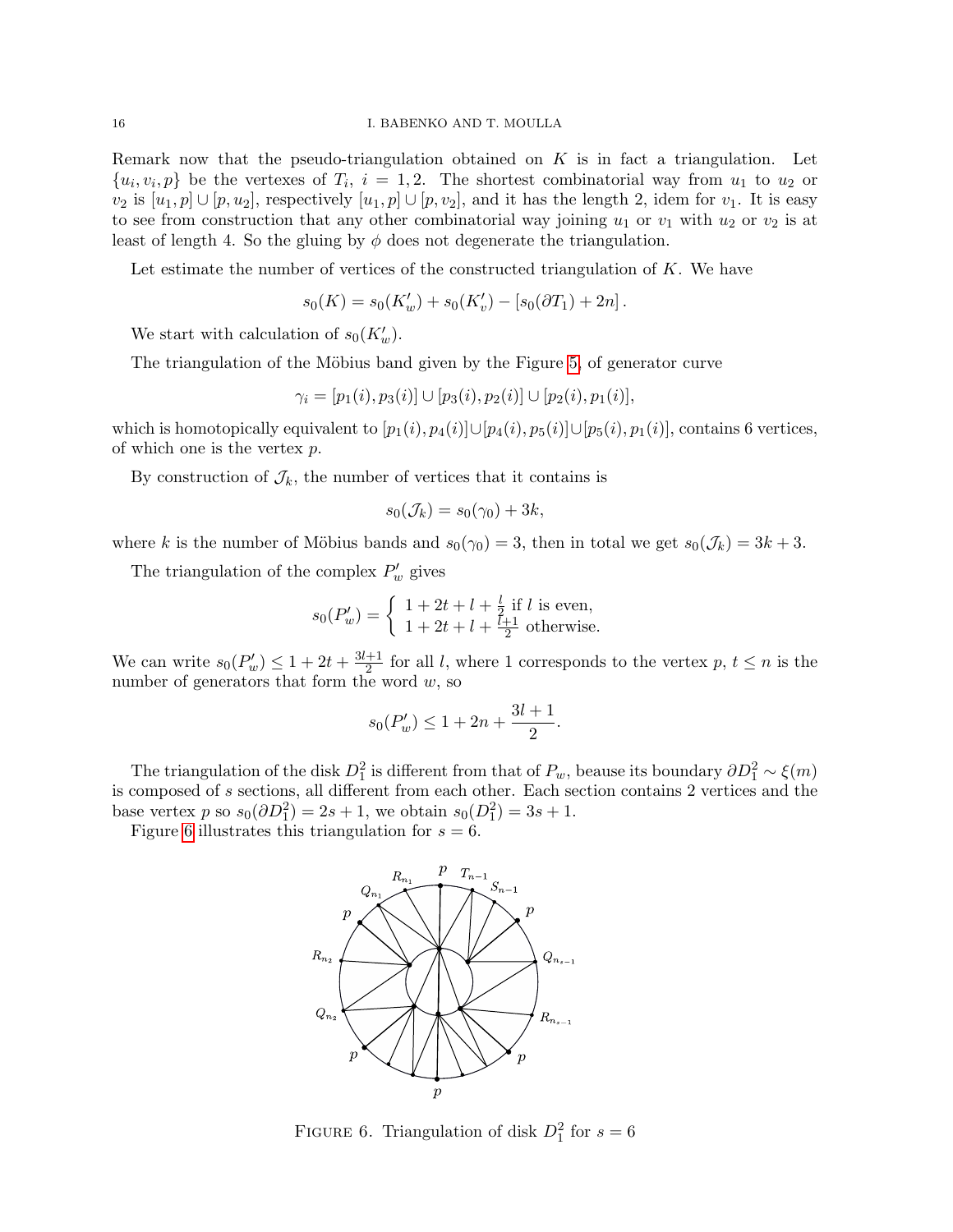Remark now that the pseudo-triangulation obtained on  $K$  is in fact a triangulation. Let  $\{u_i, v_i, p\}$  be the vertexes of  $T_i$ ,  $i = 1, 2$ . The shortest combinatorial way from  $u_1$  to  $u_2$  or  $v_2$  is  $[u_1, p] \cup [p, u_2]$ , respectively  $[u_1, p] \cup [p, v_2]$ , and it has the length 2, idem for  $v_1$ . It is easy to see from construction that any other combinatorial way joining  $u_1$  or  $v_1$  with  $u_2$  or  $v_2$  is at least of length 4. So the gluing by  $\phi$  does not degenerate the triangulation.

Let estimate the number of vertices of the constructed triangulation of  $K$ . We have

$$
s_0(K) = s_0(K'_w) + s_0(K'_v) - [s_0(\partial T_1) + 2n].
$$

We start with calculation of  $s_0(K'_w)$ .

The triangulation of the Möbius band given by the Figure [5,](#page-13-0) of generator curve

$$
\gamma_i=[p_1(i),p_3(i)]\cup [p_3(i),p_2(i)]\cup [p_2(i),p_1(i)],
$$

which is homotopically equivalent to  $[p_1(i), p_4(i)] \cup [p_4(i), p_5(i)] \cup [p_5(i), p_1(i)]$ , contains 6 vertices, of which one is the vertex  $p$ .

By construction of  $\mathcal{J}_k$ , the number of vertices that it contains is

$$
s_0(\mathcal{J}_k) = s_0(\gamma_0) + 3k,
$$

where k is the number of Möbius bands and  $s_0(\gamma_0) = 3$ , then in total we get  $s_0(\mathcal{J}_k) = 3k + 3$ .

The triangulation of the complex  $P'_w$  gives

$$
s_0(P'_w) = \begin{cases} 1 + 2t + l + \frac{l}{2} \text{ if } l \text{ is even,} \\ 1 + 2t + l + \frac{l+1}{2} \text{ otherwise.} \end{cases}
$$

We can write  $s_0(P'_w) \leq 1 + 2t + \frac{3l+1}{2}$  $\frac{+1}{2}$  for all l, where 1 corresponds to the vertex p,  $t \leq n$  is the number of generators that form the word  $w$ , so

$$
s_0(P_w') \le 1 + 2n + \frac{3l+1}{2}.
$$

The triangulation of the disk  $D_1^2$  is different from that of  $P_w$ , beause its boundary  $\partial D_1^2 \sim \xi(m)$ is composed of s sections, all different from each other. Each section contains 2 vertices and the base vertex p so  $s_0(\partial D_1^2) = 2s + 1$ , we obtain  $s_0(D_1^2) = 3s + 1$ .

Figure [6](#page-15-0) illustrates this triangulation for  $s = 6$ .



<span id="page-15-0"></span>FIGURE 6. Triangulation of disk  $D_1^2$  for  $s=6$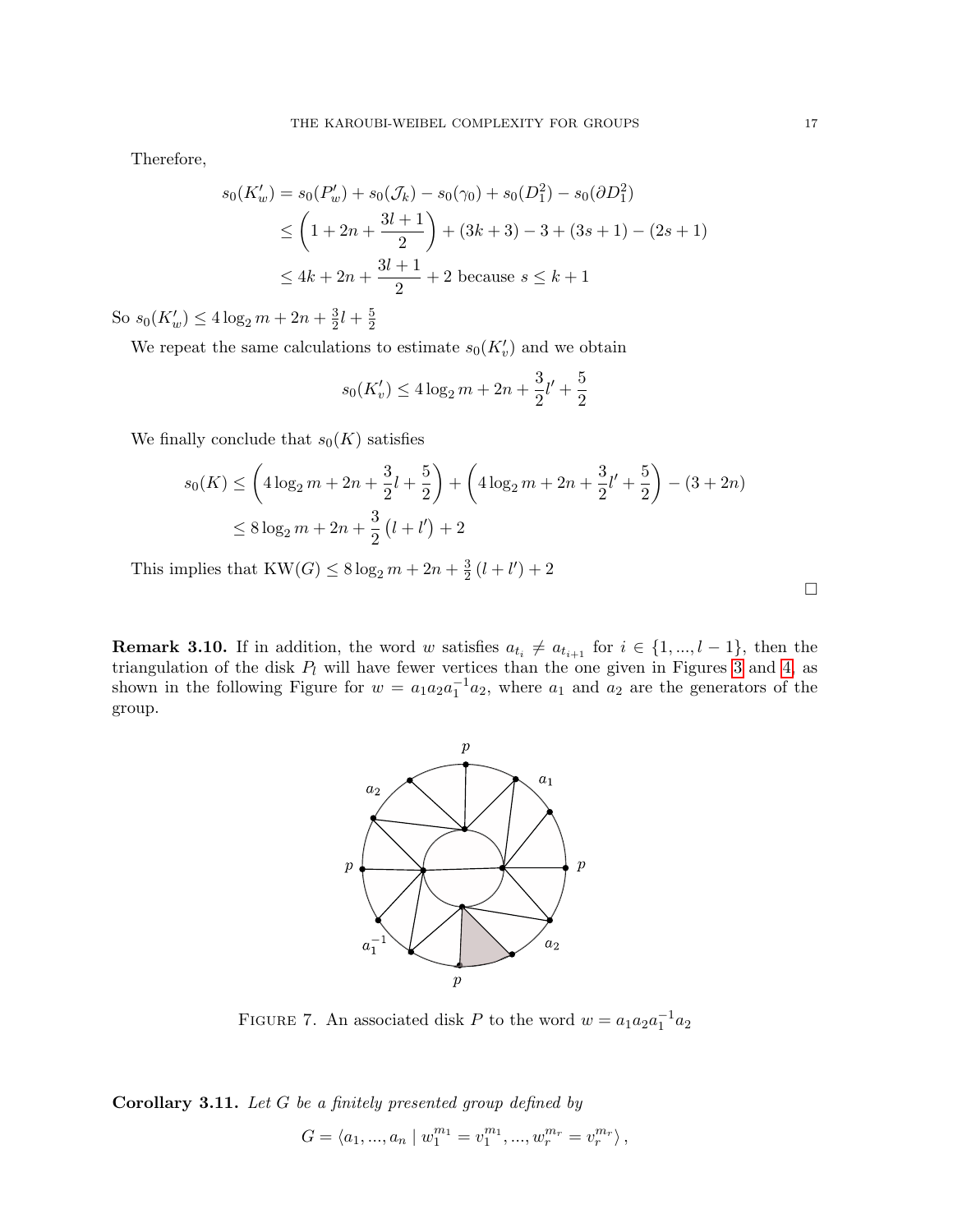Therefore,

$$
s_0(K'_w) = s_0(P'_w) + s_0(\mathcal{J}_k) - s_0(\gamma_0) + s_0(D_1^2) - s_0(\partial D_1^2)
$$
  
\n
$$
\leq \left(1 + 2n + \frac{3l+1}{2}\right) + (3k+3) - 3 + (3s+1) - (2s+1)
$$
  
\n
$$
\leq 4k + 2n + \frac{3l+1}{2} + 2 \text{ because } s \leq k+1
$$

So  $s_0(K'_w) \leq 4 \log_2 m + 2n + \frac{3}{2}$  $\frac{3}{2}l + \frac{5}{2}$ 2

We repeat the same calculations to estimate  $s_0(K'_v)$  and we obtain

$$
s_0(K'_v) \le 4\log_2 m + 2n + \frac{3}{2}l' + \frac{5}{2}
$$

We finally conclude that  $s_0(K)$  satisfies

$$
s_0(K) \le \left(4\log_2 m + 2n + \frac{3}{2}l + \frac{5}{2}\right) + \left(4\log_2 m + 2n + \frac{3}{2}l' + \frac{5}{2}\right) - (3 + 2n)
$$
  

$$
\le 8\log_2 m + 2n + \frac{3}{2}\left(l + l'\right) + 2
$$

This implies that  $KW(G) \leq 8 \log_2 m + 2n + \frac{3}{2}$  $\frac{3}{2}(l+l')+2$ 

**Remark 3.10.** If in addition, the word w satisfies  $a_{t_i} \neq a_{t_{i+1}}$  for  $i \in \{1, ..., l-1\}$ , then the triangulation of the disk  $P_l$  will have fewer vertices than the one given in Figures [3](#page-12-0) and [4,](#page-12-1) as shown in the following Figure for  $w = a_1 a_2 a_1^{-1} a_2$ , where  $a_1$  and  $a_2$  are the generators of the group.



FIGURE 7. An associated disk P to the word  $w = a_1 a_2 a_1^{-1} a_2$ 

<span id="page-16-0"></span>Corollary 3.11. Let G be a finitely presented group defined by

$$
G = \langle a_1, ..., a_n \mid w_1^{m_1} = v_1^{m_1}, ..., w_r^{m_r} = v_r^{m_r} \rangle ,
$$

 $\Box$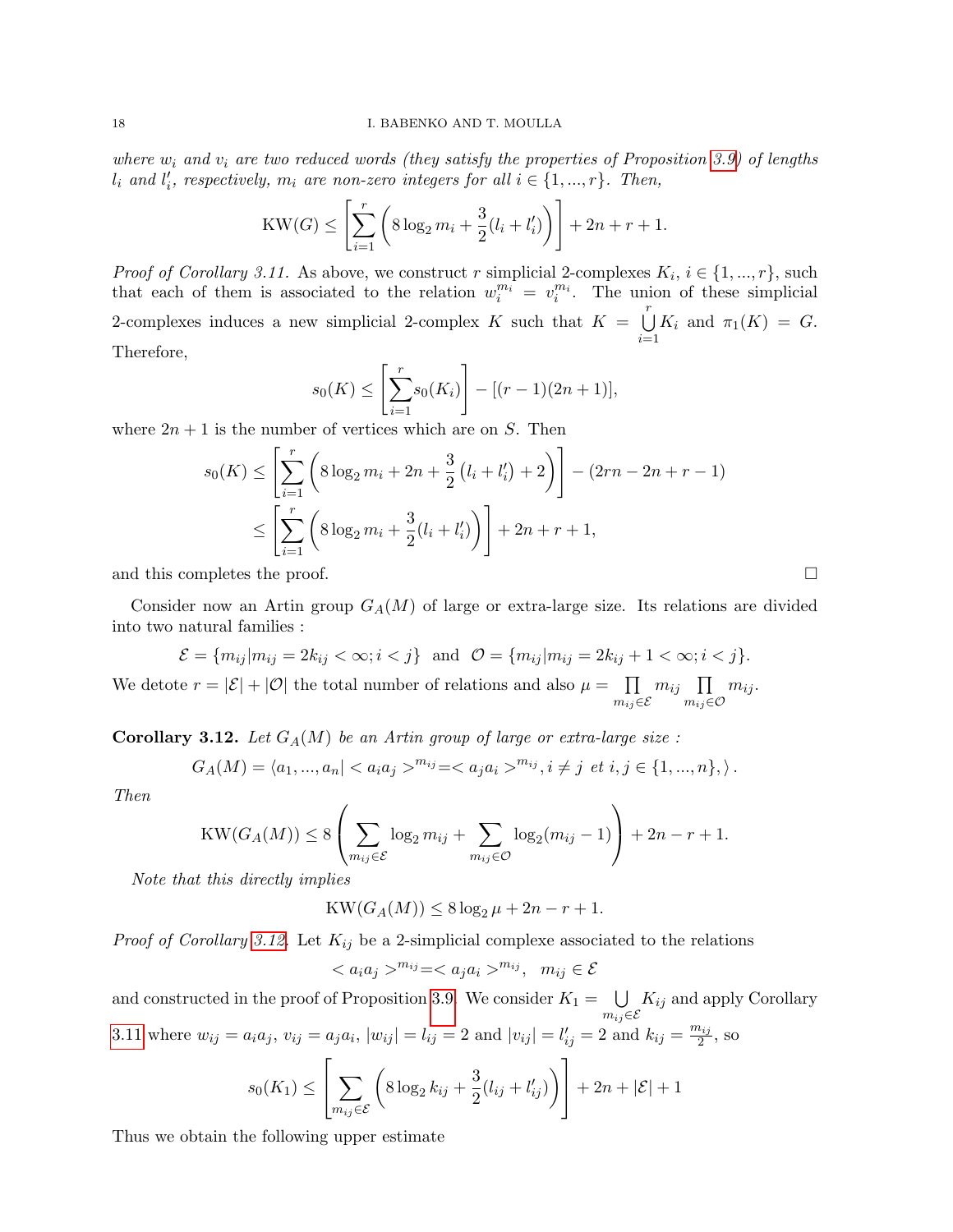where  $w_i$  and  $v_i$  are two reduced words (they satisfy the properties of Proposition [3.9\)](#page-11-1) of lengths  $l_i$  and  $l'_i$ , respectively,  $m_i$  are non-zero integers for all  $i \in \{1, ..., r\}$ . Then,

$$
KW(G) \leq \left[\sum_{i=1}^{r} \left(8 \log_2 m_i + \frac{3}{2}(l_i + l'_i)\right)\right] + 2n + r + 1.
$$

*Proof of Corollary 3.11.* As above, we construct r simplicial 2-complexes  $K_i$ ,  $i \in \{1, ..., r\}$ , such that each of them is associated to the relation  $w_i^{m_i} = v_i^{m_i}$ . The union of these simplicial 2-complexes induces a new simplicial 2-complex K such that  $K = \bigcup_{r=1}^{r}$  $i=1$  $K_i$  and  $\pi_1(K) = G$ . Therefore,

$$
s_0(K) \le \left[\sum_{i=1}^r s_0(K_i)\right] - [(r-1)(2n+1)],
$$

where  $2n + 1$  is the number of vertices which are on S. Then

$$
s_0(K) \le \left[ \sum_{i=1}^r \left( 8 \log_2 m_i + 2n + \frac{3}{2} (l_i + l'_i) + 2 \right) \right] - (2rn - 2n + r - 1)
$$
  

$$
\le \left[ \sum_{i=1}^r \left( 8 \log_2 m_i + \frac{3}{2} (l_i + l'_i) \right) \right] + 2n + r + 1,
$$

and this completes the proof.

Consider now an Artin group  $G_A(M)$  of large or extra-large size. Its relations are divided into two natural families :

$$
\mathcal{E} = \{m_{ij}|m_{ij} = 2k_{ij} < \infty; i < j\} \text{ and } \mathcal{O} = \{m_{ij}|m_{ij} = 2k_{ij} + 1 < \infty; i < j\}.
$$

We detote  $r = |\mathcal{E}| + |\mathcal{O}|$  the total number of relations and also  $\mu = \prod$  $m_{ij}$ ∈E  $m_{ij}$   $\prod$  $m_{ij}$ ∈O  $m_{ij}$ .

<span id="page-17-0"></span>**Corollary 3.12.** Let  $G_A(M)$  be an Artin group of large or extra-large size :

$$
G_A(M) = \langle a_1, ..., a_n | < a_i a_j >^{m_{ij}} = < a_j a_i >^{m_{ij}}, i \neq j \text{ et } i, j \in \{1, ..., n\}, \rangle.
$$

Then

$$
KW(G_A(M)) \leq 8\left(\sum_{m_{ij}\in \mathcal{E}}\log_2 m_{ij} + \sum_{m_{ij}\in \mathcal{O}}\log_2 (m_{ij}-1)\right) + 2n - r + 1.
$$

Note that this directly implies

$$
KW(G_A(M))\leq 8\log_2\mu+2n-r+1.
$$

*Proof of Corollary [3.12.](#page-17-0)* Let  $K_{ij}$  be a 2-simplicial complexe associated to the relations

$$
\langle a_i a_j \rangle^{m_{ij}} = \langle a_j a_i \rangle^{m_{ij}}, \quad m_{ij} \in \mathcal{E}
$$

and constructed in the proof of Proposition [3.9.](#page-11-1) We consider  $K_1 = \bigcup$  $m_{ij}$ ∈E  $K_{ij}$  and apply Corollary [3.11](#page-16-0) where  $w_{ij} = a_i a_j$ ,  $v_{ij} = a_j a_i$ ,  $|w_{ij}| = l_{ij} = 2$  and  $|v_{ij}| = l'_{ij} = 2$  and  $k_{ij} = \frac{m_{ij}}{2}$  $\frac{\iota_{ij}}{2}$ , so

$$
s_0(K_1) \leq \left[ \sum_{m_{ij} \in \mathcal{E}} \left( 8 \log_2 k_{ij} + \frac{3}{2} (l_{ij} + l'_{ij}) \right) \right] + 2n + |\mathcal{E}| + 1
$$

Thus we obtain the following upper estimate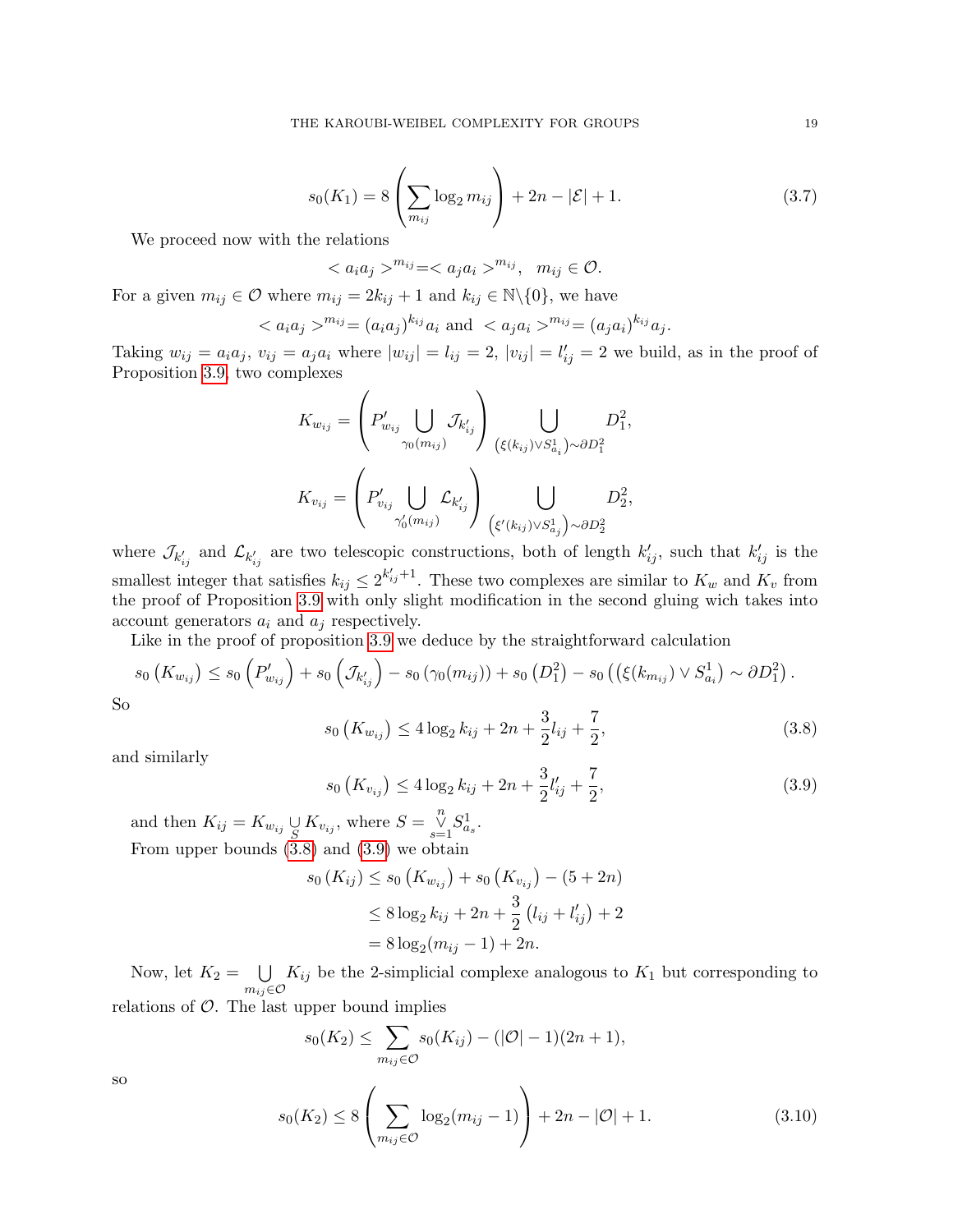<span id="page-18-2"></span>
$$
s_0(K_1) = 8\left(\sum_{m_{ij}} \log_2 m_{ij}\right) + 2n - |\mathcal{E}| + 1. \tag{3.7}
$$

We proceed now with the relations

 $\langle a_i a_j \rangle^{m_{ij}} = \langle a_j a_i \rangle^{m_{ij}}, \quad m_{ij} \in \mathcal{O}.$ 

For a given  $m_{ij} \in \mathcal{O}$  where  $m_{ij} = 2k_{ij} + 1$  and  $k_{ij} \in \mathbb{N} \setminus \{0\}$ , we have

$$
^{m_{ij}} = (a_i a_j)^{k_{ij}} a_i
$$
 and  $^{m_{ij}} = (a_j a_i)^{k_{ij}} a_j$ .

Taking  $w_{ij} = a_i a_j$ ,  $v_{ij} = a_j a_i$  where  $|w_{ij}| = l_{ij} = 2$ ,  $|v_{ij}| = l'_{ij} = 2$  we build, as in the proof of Proposition [3.9,](#page-11-1) two complexes

$$
K_{w_{ij}} = \left(P'_{w_{ij}} \bigcup_{\gamma_0(m_{ij})} \mathcal{J}_{k'_{ij}}\right) \bigcup_{\left(\xi(k_{ij}) \vee S^1_{a_i}\right) \sim \partial D^2_1} D^2_1,
$$
  

$$
K_{v_{ij}} = \left(P'_{v_{ij}} \bigcup_{\gamma'_0(m_{ij})} \mathcal{L}_{k'_{ij}}\right) \bigcup_{\left(\xi'(k_{ij}) \vee S^1_{a_j}\right) \sim \partial D^2_2} D^2_2,
$$

where  $\mathcal{J}_{k'_{ij}}$  and  $\mathcal{L}_{k'_{ij}}$  are two telescopic constructions, both of length  $k'_{ij}$ , such that  $k'_{ij}$  is the smallest integer that satisfies  $k_{ij} \leq 2^{k'_{ij}+1}$ . These two complexes are similar to  $K_w$  and  $K_v$  from the proof of Proposition [3.9](#page-11-1) with only slight modification in the second gluing wich takes into account generators  $a_i$  and  $a_j$  respectively.

Like in the proof of proposition [3.9](#page-11-1) we deduce by the straightforward calculation

$$
s_0\left(K_{w_{ij}}\right) \le s_0\left(P'_{w_{ij}}\right) + s_0\left(\mathcal{J}_{k'_{ij}}\right) - s_0\left(\gamma_0(m_{ij})\right) + s_0\left(D_1^2\right) - s_0\left(\left(\xi(k_{m_{ij}}\right) \vee S_{a_i}^1\right) \sim \partial D_1^2\right).
$$
  
So

<span id="page-18-0"></span>
$$
s_0\left(K_{w_{ij}}\right) \le 4\log_2 k_{ij} + 2n + \frac{3}{2}l_{ij} + \frac{7}{2},\tag{3.8}
$$

and similarly

<span id="page-18-1"></span>
$$
s_0\left(K_{v_{ij}}\right) \le 4\log_2 k_{ij} + 2n + \frac{3}{2}l'_{ij} + \frac{7}{2},\tag{3.9}
$$

and then  $K_{ij} = K_{w_{ij}} \underset{S}{\cup} K_{v_{ij}}$ , where  $S = \underset{s=1}{\overset{n}{\cup}} S_{a_s}^1$ . From upper bounds [\(3.8\)](#page-18-0) and [\(3.9\)](#page-18-1) we obtain

$$
s_0(K_{ij}) \le s_0(K_{w_{ij}}) + s_0(K_{v_{ij}}) - (5+2n)
$$
  
\n
$$
\le 8 \log_2 k_{ij} + 2n + \frac{3}{2} (l_{ij} + l'_{ij}) + 2
$$
  
\n
$$
= 8 \log_2(m_{ij} - 1) + 2n.
$$

Now, let  $K_2 = \bigcup K_{ij}$  be the 2-simplicial complexe analogous to  $K_1$  but corresponding to  $m_{ij} \in \mathcal{O}$ relations of  $\mathcal{O}$ . The last upper bound implies

$$
s_0(K_2) \le \sum_{m_{ij}\in\mathcal{O}} s_0(K_{ij}) - (|\mathcal{O}| - 1)(2n + 1),
$$

so

<span id="page-18-3"></span>
$$
s_0(K_2) \le 8 \left( \sum_{m_{ij} \in \mathcal{O}} \log_2(m_{ij} - 1) \right) + 2n - |\mathcal{O}| + 1. \tag{3.10}
$$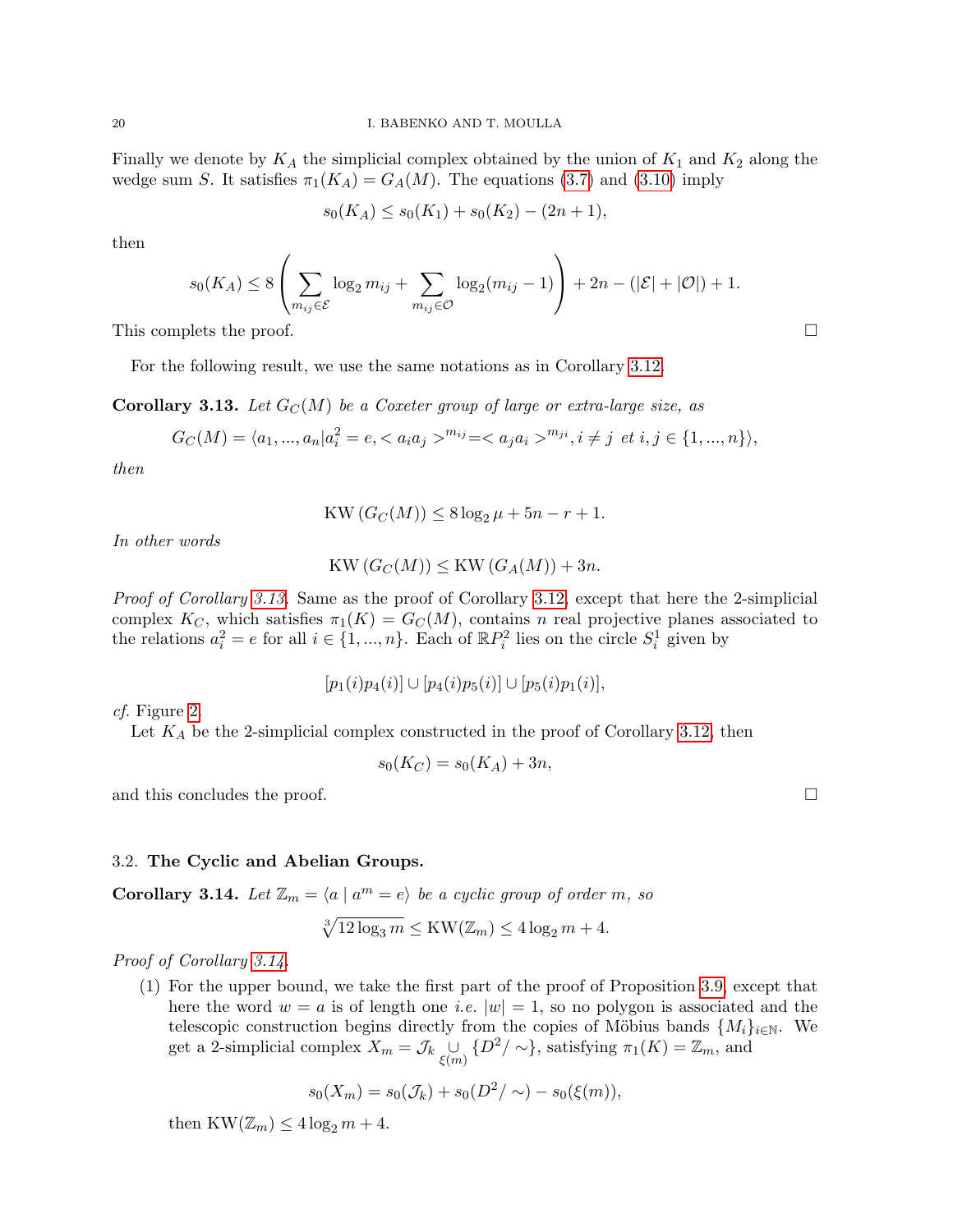Finally we denote by  $K_A$  the simplicial complex obtained by the union of  $K_1$  and  $K_2$  along the wedge sum S. It satisfies  $\pi_1(K_A) = G_A(M)$ . The equations [\(3.7\)](#page-18-2) and [\(3.10\)](#page-18-3) imply

$$
s_0(K_A) \le s_0(K_1) + s_0(K_2) - (2n + 1),
$$

then

$$
s_0(K_A) \le 8 \left( \sum_{m_{ij} \in \mathcal{E}} \log_2 m_{ij} + \sum_{m_{ij} \in \mathcal{O}} \log_2 (m_{ij} - 1) \right) + 2n - (|\mathcal{E}| + |\mathcal{O}|) + 1.
$$

This complets the proof.  $\Box$ 

For the following result, we use the same notations as in Corollary [3.12.](#page-17-0)

<span id="page-19-0"></span>**Corollary 3.13.** Let  $G_C(M)$  be a Coxeter group of large or extra-large size, as

$$
G_C(M) = \langle a_1, ..., a_n | a_i^2 = e, \langle a_i a_j \rangle^{m_{ij}} = \langle a_j a_i \rangle^{m_{ji}}, i \neq j \text{ et } i, j \in \{1, ..., n\} \rangle,
$$

then

$$
KW(G_C(M)) \leq 8\log_2\mu + 5n - r + 1.
$$

In other words

$$
KW(G_C(M)) \leq KW(G_A(M)) + 3n.
$$

Proof of Corollary [3.13.](#page-19-0) Same as the proof of Corollary [3.12,](#page-17-0) except that here the 2-simplicial complex  $K_C$ , which satisfies  $\pi_1(K) = G_C(M)$ , contains n real projective planes associated to the relations  $a_i^2 = e$  for all  $i \in \{1, ..., n\}$ . Each of  $\mathbb{R}P_i^2$  lies on the circle  $S_i^1$  given by

 $[p_1(i)p_4(i)] \cup [p_4(i)p_5(i)] \cup [p_5(i)p_1(i)],$ 

cf. Figure [2.](#page-8-0)

Let  $K_A$  be the 2-simplicial complex constructed in the proof of Corollary [3.12,](#page-17-0) then

$$
s_0(K_C) = s_0(K_A) + 3n,
$$

and this concludes the proof.

3.2. The Cyclic and Abelian Groups.

<span id="page-19-1"></span>**Corollary 3.14.** Let  $\mathbb{Z}_m = \langle a | a^m = e \rangle$  be a cyclic group of order m, so

$$
\sqrt[3]{12\log_3 m} \le \text{KW}(\mathbb{Z}_m) \le 4\log_2 m + 4.
$$

Proof of Corollary [3.14.](#page-19-1)

(1) For the upper bound, we take the first part of the proof of Proposition [3.9,](#page-11-1) except that here the word  $w = a$  is of length one *i.e.*  $|w| = 1$ , so no polygon is associated and the telescopic construction begins directly from the copies of Möbius bands  $\{M_i\}_{i\in\mathbb{N}}$ . We get a 2-simplicial complex  $X_m = \mathcal{J}_k \bigcup_{\xi(m)} \{D^2/\sim\}$ , satisfying  $\pi_1(K) = \mathbb{Z}_m$ , and

$$
s_0(X_m) = s_0(\mathcal{J}_k) + s_0(D^2/\sim) - s_0(\xi(m)),
$$

then  $KW(\mathbb{Z}_m)\leq 4\log_2 m+4$ .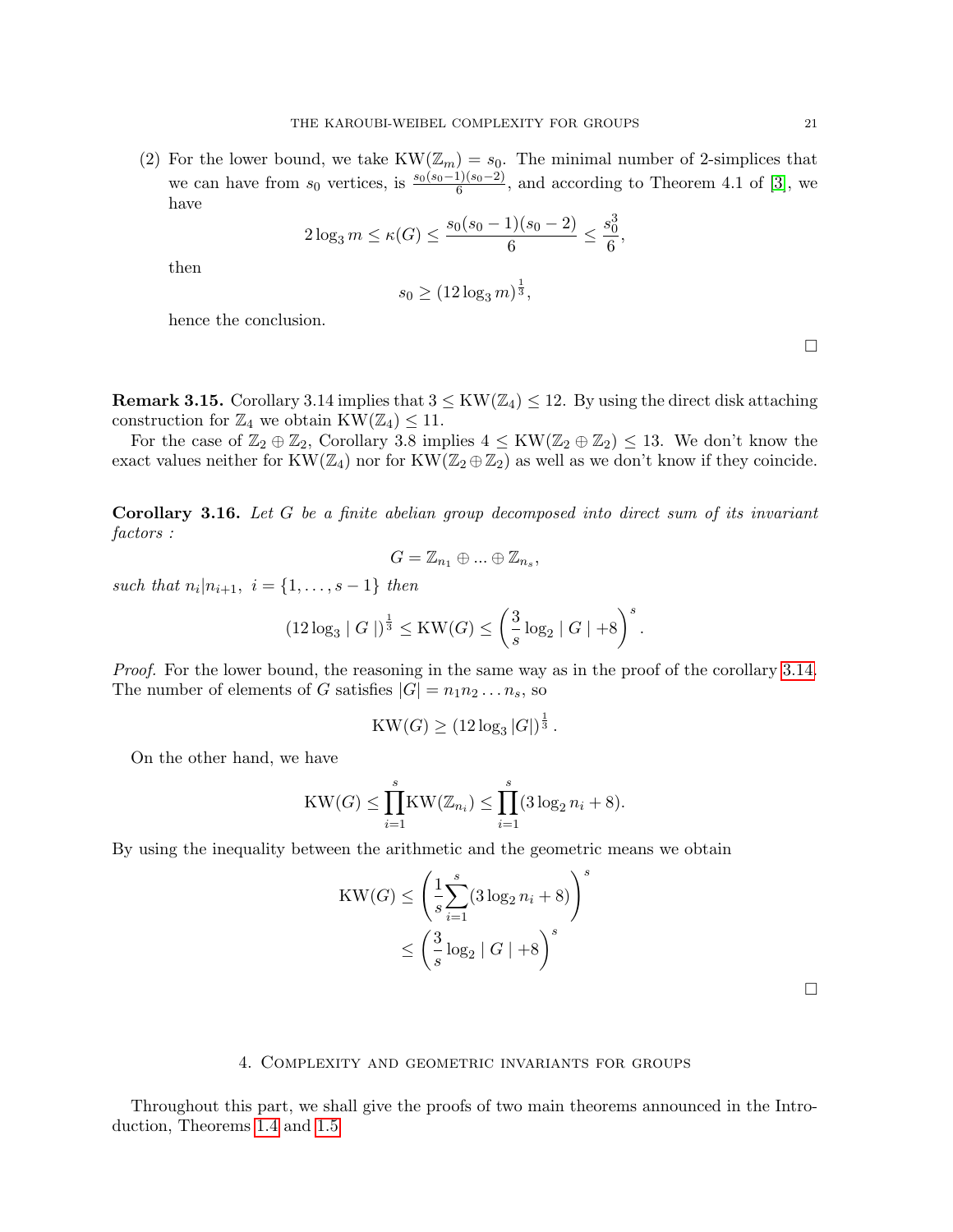<span id="page-20-0"></span>(2) For the lower bound, we take  $KW(\mathbb{Z}_m)=s_0$ . The minimal number of 2-simplices that we can have from  $s_0$  vertices, is  $\frac{s_0(s_0-1)(s_0-2)}{6}$ , and according to Theorem 4.1 of [\[3\]](#page-23-1), we have

$$
2\log_3 m \le \kappa(G) \le \frac{s_0(s_0-1)(s_0-2)}{6} \le \frac{s_0^3}{6},
$$

then

$$
s_0 \ge (12\log_3 m)^{\frac{1}{3}},
$$

hence the conclusion.

**Remark 3.15.** Corollary 3.14 implies that  $3 \leq KW(\mathbb{Z}_4) \leq 12$ . By using the direct disk attaching construction for  $\mathbb{Z}_4$  we obtain  $KW(\mathbb{Z}_4)\leq 11$ .

For the case of  $\mathbb{Z}_2 \oplus \mathbb{Z}_2$ , Corollary 3.8 implies  $4 \leq KW(\mathbb{Z}_2 \oplus \mathbb{Z}_2) \leq 13$ . We don't know the exact values neither for  $KW(\mathbb{Z}_4)$  nor for  $KW(\mathbb{Z}_2 \oplus \mathbb{Z}_2)$  as well as we don't know if they coincide.

Corollary 3.16. Let G be a finite abelian group decomposed into direct sum of its invariant factors :

$$
G=\mathbb{Z}_{n_1}\oplus\ldots\oplus\mathbb{Z}_{n_s},
$$

such that  $n_i | n_{i+1}, i = \{1, ..., s-1\}$  then

$$
(12\log_3 |G|)^{\frac{1}{3}} \leq \mathrm{KW}(G) \leq \left(\frac{3}{s}\log_2 |G| + 8\right)^s.
$$

Proof. For the lower bound, the reasoning in the same way as in the proof of the corollary [3.14.](#page-19-1) The number of elements of G satisfies  $|G| = n_1 n_2 ... n_s$ , so

$$
KW(G)\geq (12\log_3|G|)^{\frac{1}{3}}.
$$

On the other hand, we have

$$
KW(G) \leq \prod_{i=1}^{s} KW(\mathbb{Z}_{n_i}) \leq \prod_{i=1}^{s} (3 \log_2 n_i + 8).
$$

By using the inequality between the arithmetic and the geometric means we obtain

$$
KW(G) \le \left(\frac{1}{s}\sum_{i=1}^{s}(3\log_2 n_i + 8)\right)^s
$$

$$
\le \left(\frac{3}{s}\log_2 |G| + 8\right)^s
$$

 $\Box$ 

#### 4. Complexity and geometric invariants for groups

Throughout this part, we shall give the proofs of two main theorems announced in the Introduction, Theorems [1.4](#page-3-0) and [1.5](#page-4-2)

 $\Box$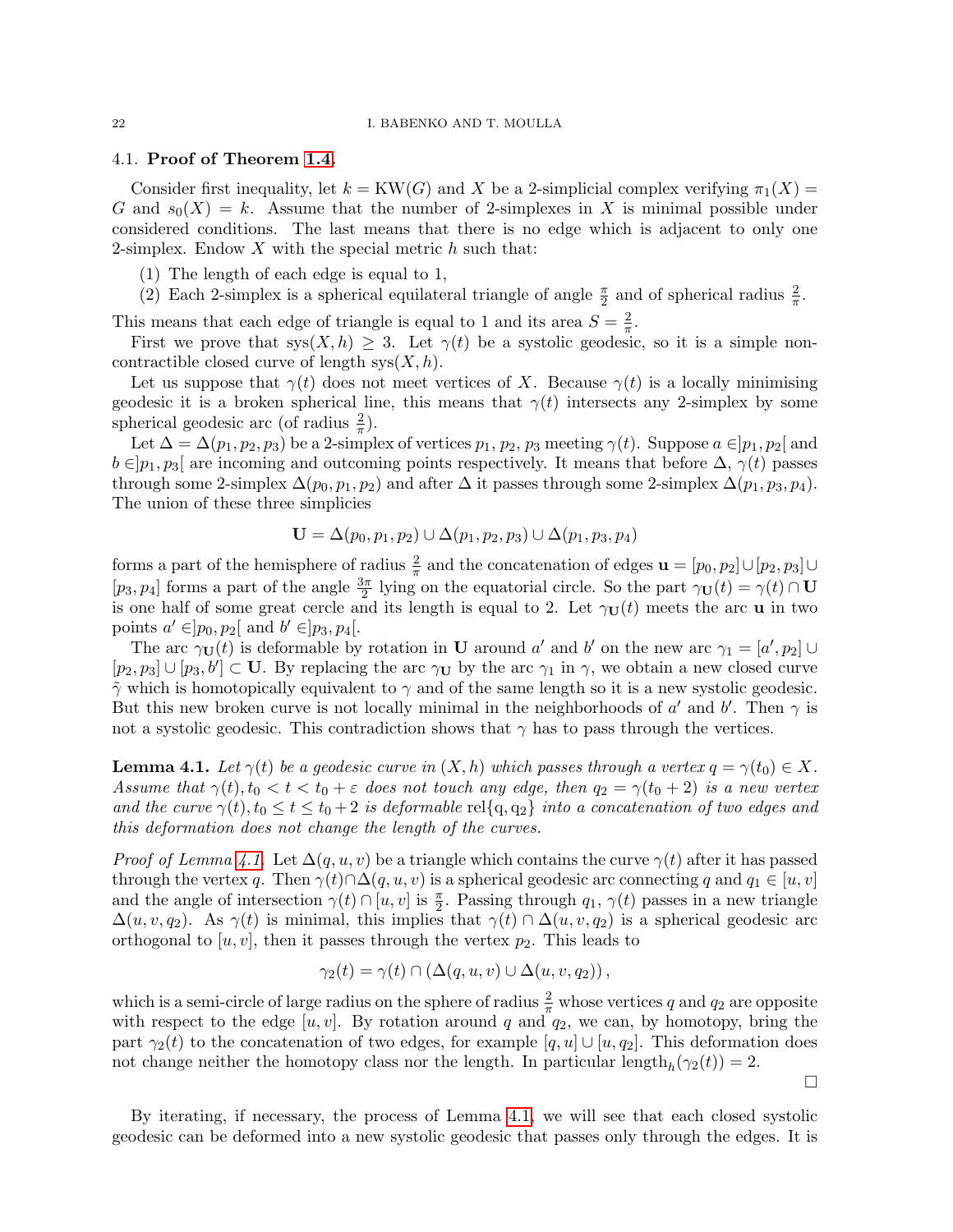## 4.1. Proof of Theorem [1.4.](#page-3-0)

Consider first inequality, let  $k = KW(G)$  and X be a 2-simplicial complex verifying  $\pi_1(X) =$ G and  $s_0(X) = k$ . Assume that the number of 2-simplexes in X is minimal possible under considered conditions. The last means that there is no edge which is adjacent to only one 2-simplex. Endow  $X$  with the special metric  $h$  such that:

(1) The length of each edge is equal to 1,

(2) Each 2-simplex is a spherical equilateral triangle of angle  $\frac{\pi}{2}$  and of spherical radius  $\frac{2}{\pi}$ .

This means that each edge of triangle is equal to 1 and its area  $S = \frac{2}{\pi}$  $\frac{2}{\pi}$ .

First we prove that  $sys(X, h) \geq 3$ . Let  $\gamma(t)$  be a systolic geodesic, so it is a simple noncontractible closed curve of length  $sys(X, h)$ .

Let us suppose that  $\gamma(t)$  does not meet vertices of X. Because  $\gamma(t)$  is a locally minimising geodesic it is a broken spherical line, this means that  $\gamma(t)$  intersects any 2-simplex by some spherical geodesic arc (of radius  $\frac{2}{\pi}$ ).

Let  $\Delta = \Delta(p_1, p_2, p_3)$  be a 2-simplex of vertices  $p_1, p_2, p_3$  meeting  $\gamma(t)$ . Suppose  $a \in ]p_1, p_2[$  and  $b \in ]p_1, p_3[$  are incoming and outcoming points respectively. It means that before  $\Delta$ ,  $\gamma(t)$  passes through some 2-simplex  $\Delta(p_0, p_1, p_2)$  and after  $\Delta$  it passes through some 2-simplex  $\Delta(p_1, p_3, p_4)$ . The union of these three simplicies

$$
\mathbf{U} = \Delta(p_0, p_1, p_2) \cup \Delta(p_1, p_2, p_3) \cup \Delta(p_1, p_3, p_4)
$$

forms a part of the hemisphere of radius  $\frac{2}{\pi}$  and the concatenation of edges  $\mathbf{u} = [p_0, p_2] \cup [p_2, p_3] \cup$  $[p_3, p_4]$  forms a part of the angle  $\frac{3\pi}{2}$  lying on the equatorial circle. So the part  $\gamma_U(t) = \gamma(t) \cap U$ is one half of some great cercle and its length is equal to 2. Let  $\gamma_{\mathbf{U}}(t)$  meets the arc **u** in two points  $a' \in ]p_0, p_2[$  and  $b' \in ]p_3, p_4[$ .

The arc  $\gamma_{\mathbf{U}}(t)$  is deformable by rotation in **U** around a' and b' on the new arc  $\gamma_1 = [a', p_2] \cup$  $[p_2, p_3] \cup [p_3, b'] \subset U$ . By replacing the arc  $\gamma_U$  by the arc  $\gamma_1$  in  $\gamma$ , we obtain a new closed curve  $\tilde{\gamma}$  which is homotopically equivalent to  $\gamma$  and of the same length so it is a new systolic geodesic. But this new broken curve is not locally minimal in the neighborhoods of  $a'$  and  $b'$ . Then  $\gamma$  is not a systolic geodesic. This contradiction shows that  $\gamma$  has to pass through the vertices.

<span id="page-21-0"></span>**Lemma 4.1.** Let  $\gamma(t)$  be a geodesic curve in  $(X, h)$  which passes through a vertex  $q = \gamma(t_0) \in X$ . Assume that  $\gamma(t)$ ,  $t_0 < t < t_0 + \varepsilon$  does not touch any edge, then  $q_2 = \gamma(t_0 + 2)$  is a new vertex and the curve  $\gamma(t)$ ,  $t_0 \le t \le t_0 + 2$  is deformable rel{q, q<sub>2</sub>} into a concatenation of two edges and this deformation does not change the length of the curves.

*Proof of Lemma [4.1.](#page-21-0)* Let  $\Delta(q, u, v)$  be a triangle which contains the curve  $\gamma(t)$  after it has passed through the vertex q. Then  $\gamma(t) \cap \Delta(q, u, v)$  is a spherical geodesic arc connecting q and  $q_1 \in [u, v]$ and the angle of intersection  $\gamma(t) \cap [u, v]$  is  $\frac{\pi}{2}$ . Passing through  $q_1, \gamma(t)$  passes in a new triangle  $\Delta(u, v, q_2)$ . As  $\gamma(t)$  is minimal, this implies that  $\gamma(t) \cap \Delta(u, v, q_2)$  is a spherical geodesic arc orthogonal to  $[u, v]$ , then it passes through the vertex  $p_2$ . This leads to

$$
\gamma_2(t) = \gamma(t) \cap \left(\Delta(q, u, v) \cup \Delta(u, v, q_2)\right),\,
$$

which is a semi-circle of large radius on the sphere of radius  $\frac{2}{\pi}$  whose vertices q and  $q_2$  are opposite with respect to the edge  $[u, v]$ . By rotation around q and  $q_2$ , we can, by homotopy, bring the part  $\gamma_2(t)$  to the concatenation of two edges, for example  $[q, u] \cup [u, q_2]$ . This deformation does not change neither the homotopy class nor the length. In particular length $_h(\gamma_2(t)) = 2$ .

By iterating, if necessary, the process of Lemma [4.1,](#page-21-0) we will see that each closed systolic geodesic can be deformed into a new systolic geodesic that passes only through the edges. It is

 $\Box$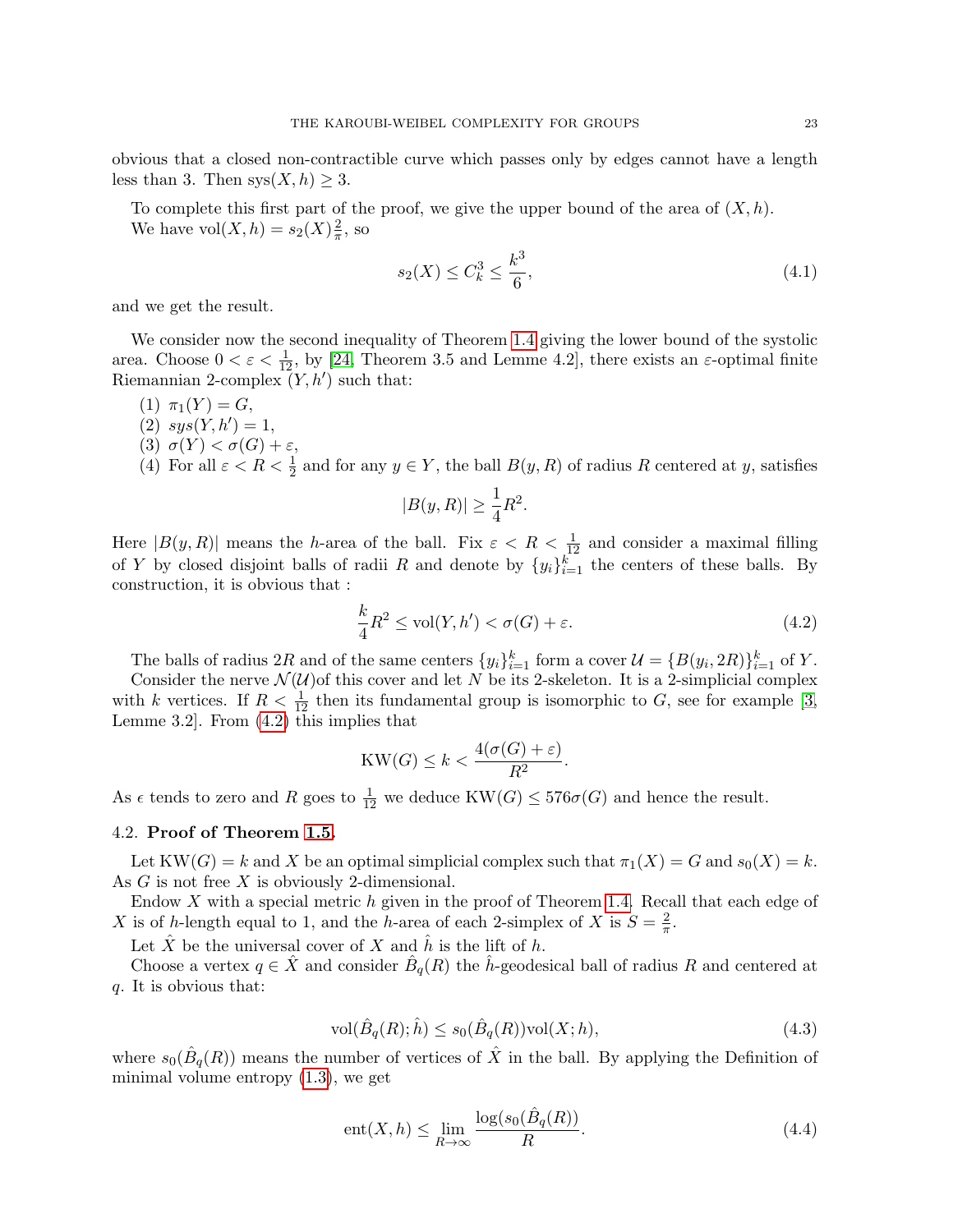<span id="page-22-3"></span>obvious that a closed non-contractible curve which passes only by edges cannot have a length less than 3. Then  $sys(X, h) \geq 3$ .

To complete this first part of the proof, we give the upper bound of the area of  $(X,h)$ . We have  $vol(X, h) = s_2(X) \frac{2}{\pi}$  $\frac{2}{\pi}$ , so

<span id="page-22-2"></span>
$$
s_2(X) \le C_k^3 \le \frac{k^3}{6},\tag{4.1}
$$

and we get the result.

We consider now the second inequality of Theorem [1.4](#page-3-0) giving the lower bound of the systolic area. Choose  $0 < \varepsilon < \frac{1}{12}$ , by [\[24,](#page-24-5) Theorem 3.5 and Lemme 4.2], there exists an  $\varepsilon$ -optimal finite Riemannian 2-complex  $(Y, h')$  such that:

- (1)  $\pi_1(Y) = G$ ,
- (2)  $sys(Y, h') = 1$ ,
- (3)  $\sigma(Y) < \sigma(G) + \varepsilon$ ,
- (4) For all  $\varepsilon < R < \frac{1}{2}$  and for any  $y \in Y$ , the ball  $B(y, R)$  of radius R centered at y, satisfies

$$
|B(y,R)| \ge \frac{1}{4}R^2.
$$

Here  $|B(y, R)|$  means the h-area of the ball. Fix  $\varepsilon < R < \frac{1}{12}$  and consider a maximal filling of Y by closed disjoint balls of radii R and denote by  $\{y_i\}_{i=1}^k$  the centers of these balls. By construction, it is obvious that :

<span id="page-22-0"></span>
$$
\frac{k}{4}R^2 \le \text{vol}(Y, h') < \sigma(G) + \varepsilon. \tag{4.2}
$$

The balls of radius 2R and of the same centers  $\{y_i\}_{i=1}^k$  form a cover  $\mathcal{U} = \{B(y_i, 2R)\}_{i=1}^k$  of Y.

Consider the nerve  $\mathcal{N}(U)$  of this cover and let N be its 2-skeleton. It is a 2-simplicial complex with k vertices. If  $R < \frac{1}{12}$  then its fundamental group is isomorphic to G, see for example [\[3,](#page-23-1) Lemme 3.2]. From [\(4.2\)](#page-22-0) this implies that

$$
KW(G)\leq k<\frac{4(\sigma(G)+\varepsilon)}{R^2}.
$$

As  $\epsilon$  tends to zero and R goes to  $\frac{1}{12}$  we deduce  $KW(G) \leq 576\sigma(G)$  and hence the result.

# 4.2. Proof of Theorem [1.5.](#page-4-2)

Let  $KW(G) = k$  and X be an optimal simplicial complex such that  $\pi_1(X) = G$  and  $s_0(X) = k$ . As G is not free X is obviously 2-dimensional.

Endow X with a special metric h given in the proof of Theorem [1.4.](#page-3-0) Recall that each edge of X is of h-length equal to 1, and the h-area of each 2-simplex of X is  $S = \frac{2}{\pi}$  $\frac{2}{\pi}$ .

Let  $\hat{X}$  be the universal cover of X and  $\hat{h}$  is the lift of h.

Choose a vertex  $q \in \hat{X}$  and consider  $\hat{B}_q(R)$  the  $\hat{h}$ -geodesical ball of radius R and centered at q. It is obvious that:

$$
\text{vol}(\hat{B}_q(R); \hat{h}) \le s_0(\hat{B}_q(R))\text{vol}(X; h),\tag{4.3}
$$

where  $s_0(\hat{B}_q(R))$  means the number of vertices of  $\hat{X}$  in the ball. By applying the Definition of minimal volume entropy [\(1.3\)](#page-4-0), we get

<span id="page-22-1"></span>
$$
ent(X, h) \le \lim_{R \to \infty} \frac{\log(s_0(\hat{B}_q(R))}{R}.
$$
\n(4.4)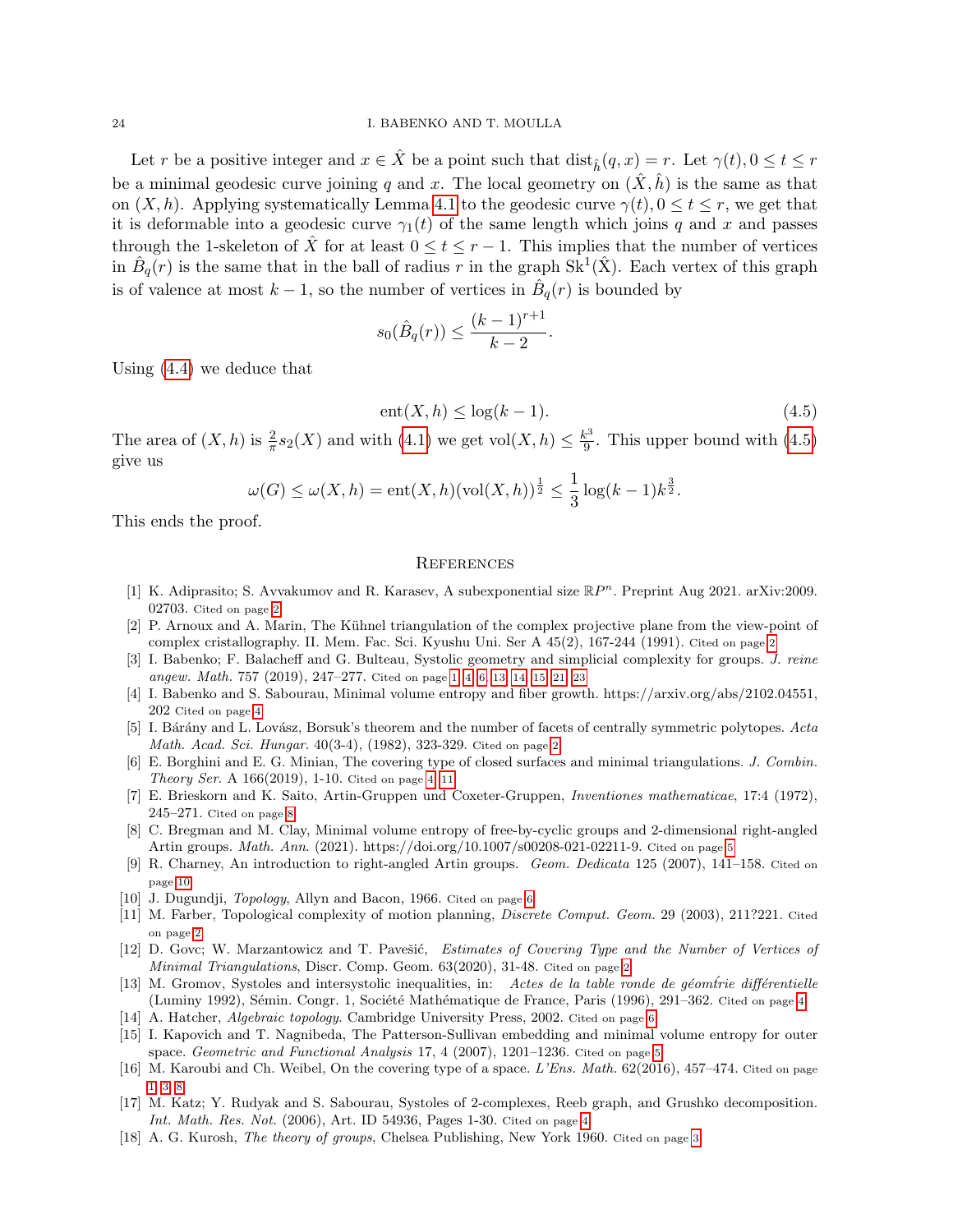Let r be a positive integer and  $x \in \hat{X}$  be a point such that  $dist_{\hat{h}}(q, x) = r$ . Let  $\gamma(t), 0 \le t \le r$ be a minimal geodesic curve joining q and x. The local geometry on  $(\hat{X}, \hat{h})$  is the same as that on  $(X, h)$ . Applying systematically Lemma [4.1](#page-21-0) to the geodesic curve  $\gamma(t)$ ,  $0 \le t \le r$ , we get that it is deformable into a geodesic curve  $\gamma_1(t)$  of the same length which joins q and x and passes through the 1-skeleton of X for at least  $0 \le t \le r - 1$ . This implies that the number of vertices in  $\hat{B}_q(r)$  is the same that in the ball of radius r in the graph  $\text{Sk}^1(\hat{X})$ . Each vertex of this graph is of valence at most  $k-1$ , so the number of vertices in  $\hat{B}_q(r)$  is bounded by

$$
s_0(\hat{B}_q(r)) \leq \frac{(k-1)^{r+1}}{k-2}.
$$

Using [\(4.4\)](#page-22-1) we deduce that

<span id="page-23-18"></span>
$$
ent(X, h) \le \log(k - 1). \tag{4.5}
$$

The area of  $(X, h)$  is  $\frac{2}{\pi} s_2(X)$  and with  $(4.1)$  we get  $\text{vol}(X, h) \leq \frac{k^3}{9}$  $rac{e^{3}}{9}$ . This upper bound with  $(4.5)$ give us

$$
\omega(G) \le \omega(X, h) = \text{ent}(X, h)(\text{vol}(X, h))^{\frac{1}{2}} \le \frac{1}{3}\log(k-1)k^{\frac{3}{2}}.
$$

This ends the proof.

### **REFERENCES**

- <span id="page-23-2"></span>[1] K. Adiprasito; S. Avvakumov and R. Karasev, A subexponential size  $\mathbb{R}P^n$ . Preprint Aug 2021. arXiv:2009. 02703. Cited on page [2](#page-1-1)
- <span id="page-23-3"></span>[2] P. Arnoux and A. Marin, The Kühnel triangulation of the complex projective plane from the view-point of complex cristallography. II. Mem. Fac. Sci. Kyushu Uni. Ser A 45(2), 167-244 (1991). Cited on page [2](#page-1-1)
- <span id="page-23-1"></span>[3] I. Babenko; F. Balacheff and G. Bulteau, Systolic geometry and simplicial complexity for groups. J. reine angew. Math. 757 (2019), 247–277. Cited on page [1,](#page-0-0) [4,](#page-3-1) [6,](#page-5-1) [13,](#page-12-2) [14,](#page-13-1) [15,](#page-14-0) [21,](#page-20-0) [23](#page-22-3)
- <span id="page-23-11"></span>[4] I. Babenko and S. Sabourau, Minimal volume entropy and fiber growth. https://arxiv.org/abs/2102.04551, 202 Cited on page [4](#page-3-1)
- <span id="page-23-5"></span>[5] I. Bárány and L. Lovász, Borsuk's theorem and the number of facets of centrally symmetric polytopes. Acta Math. Acad. Sci. Hungar. 40(3-4), (1982), 323-329. Cited on page [2](#page-1-1)
- <span id="page-23-8"></span>[6] E. Borghini and E. G. Minian, The covering type of closed surfaces and minimal triangulations. J. Combin. Theory Ser. A 166(2019), 1-10. Cited on page [4,](#page-3-1) [11](#page-10-4)
- <span id="page-23-16"></span>[7] E. Brieskorn and K. Saito, Artin-Gruppen und Coxeter-Gruppen, Inventiones mathematicae, 17:4 (1972), 245–271. Cited on page [8](#page-7-1)
- <span id="page-23-13"></span>[8] C. Bregman and M. Clay, Minimal volume entropy of free-by-cyclic groups and 2-dimensional right-angled Artin groups. Math. Ann. (2021). https://doi.org/10.1007/s00208-021-02211-9. Cited on page [5](#page-4-3)
- <span id="page-23-17"></span>[9] R. Charney, An introduction to right-angled Artin groups. Geom. Dedicata 125 (2007), 141–158. Cited on page [10](#page-9-2)
- <span id="page-23-15"></span>[10] J. Dugundji, *Topology*, Allyn and Bacon, 1966. Cited on page [6](#page-5-1)
- <span id="page-23-6"></span>[11] M. Farber, Topological complexity of motion planning, *Discrete Comput. Geom.* 29 (2003), 211?221. Cited on page [2](#page-1-1)
- <span id="page-23-4"></span>[12] D. Govc; W. Marzantowicz and T. Pavešić, Estimates of Covering Type and the Number of Vertices of Minimal Triangulations, Discr. Comp. Geom. 63(2020), 31-48. Cited on page [2](#page-1-1)
- <span id="page-23-9"></span>[13] M. Gromov, Systoles and intersystolic inequalities, in: Actes de la table ronde de géomfrie différentielle (Luminy 1992), Sémin. Congr. 1, Société Mathématique de France, Paris (1996), 291–362. Cited on page [4](#page-3-1)
- <span id="page-23-14"></span>[14] A. Hatcher, Algebraic topology. Cambridge University Press, 2002. Cited on page [6](#page-5-1)
- <span id="page-23-12"></span>[15] I. Kapovich and T. Nagnibeda, The Patterson-Sullivan embedding and minimal volume entropy for outer space. Geometric and Functional Analysis  $17, 4$  (2007),  $1201-1236$ . Cited on page [5](#page-4-3)
- <span id="page-23-0"></span>[16] M. Karoubi and Ch. Weibel, On the covering type of a space. L'Ens. Math. 62(2016), 457-474. Cited on page [1,](#page-0-0) [3,](#page-2-2) [8](#page-7-1)
- <span id="page-23-10"></span>[17] M. Katz; Y. Rudyak and S. Sabourau, Systoles of 2-complexes, Reeb graph, and Grushko decomposition. Int. Math. Res. Not. (2006), Art. ID 54936, Pages 1-30. Cited on page [4](#page-3-1)
- <span id="page-23-7"></span>[18] A. G. Kurosh, The theory of groups, Chelsea Publishing, New York 1960. Cited on page [3](#page-2-2)